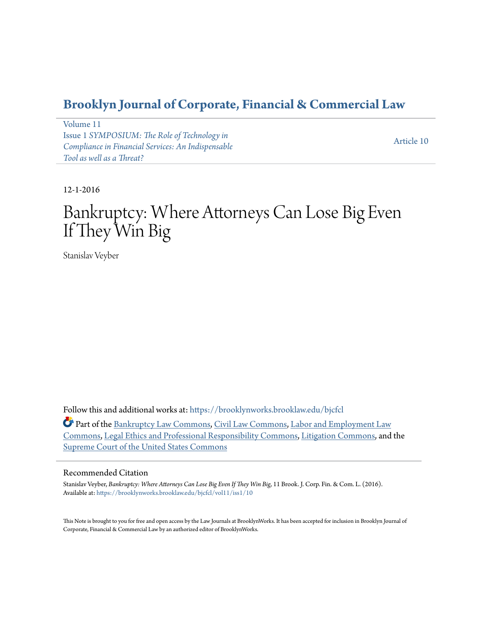# **[Brooklyn Journal of Corporate, Financial & Commercial Law](https://brooklynworks.brooklaw.edu/bjcfcl?utm_source=brooklynworks.brooklaw.edu%2Fbjcfcl%2Fvol11%2Fiss1%2F10&utm_medium=PDF&utm_campaign=PDFCoverPages)**

[Volume 11](https://brooklynworks.brooklaw.edu/bjcfcl/vol11?utm_source=brooklynworks.brooklaw.edu%2Fbjcfcl%2Fvol11%2Fiss1%2F10&utm_medium=PDF&utm_campaign=PDFCoverPages) Issue 1 *[SYMPOSIUM: The Role of Technology in](https://brooklynworks.brooklaw.edu/bjcfcl/vol11/iss1?utm_source=brooklynworks.brooklaw.edu%2Fbjcfcl%2Fvol11%2Fiss1%2F10&utm_medium=PDF&utm_campaign=PDFCoverPages) [Compliance in Financial Services: An Indispensable](https://brooklynworks.brooklaw.edu/bjcfcl/vol11/iss1?utm_source=brooklynworks.brooklaw.edu%2Fbjcfcl%2Fvol11%2Fiss1%2F10&utm_medium=PDF&utm_campaign=PDFCoverPages) [Tool as well as a Threat?](https://brooklynworks.brooklaw.edu/bjcfcl/vol11/iss1?utm_source=brooklynworks.brooklaw.edu%2Fbjcfcl%2Fvol11%2Fiss1%2F10&utm_medium=PDF&utm_campaign=PDFCoverPages)*

[Article 10](https://brooklynworks.brooklaw.edu/bjcfcl/vol11/iss1/10?utm_source=brooklynworks.brooklaw.edu%2Fbjcfcl%2Fvol11%2Fiss1%2F10&utm_medium=PDF&utm_campaign=PDFCoverPages)

12-1-2016

# Bankruptcy: Where Attorneys Can Lose Big Even If They Win Big

Stanislav Veyber

Follow this and additional works at: [https://brooklynworks.brooklaw.edu/bjcfcl](https://brooklynworks.brooklaw.edu/bjcfcl?utm_source=brooklynworks.brooklaw.edu%2Fbjcfcl%2Fvol11%2Fiss1%2F10&utm_medium=PDF&utm_campaign=PDFCoverPages)

Part of the [Bankruptcy Law Commons,](http://network.bepress.com/hgg/discipline/583?utm_source=brooklynworks.brooklaw.edu%2Fbjcfcl%2Fvol11%2Fiss1%2F10&utm_medium=PDF&utm_campaign=PDFCoverPages) [Civil Law Commons,](http://network.bepress.com/hgg/discipline/835?utm_source=brooklynworks.brooklaw.edu%2Fbjcfcl%2Fvol11%2Fiss1%2F10&utm_medium=PDF&utm_campaign=PDFCoverPages) [Labor and Employment Law](http://network.bepress.com/hgg/discipline/909?utm_source=brooklynworks.brooklaw.edu%2Fbjcfcl%2Fvol11%2Fiss1%2F10&utm_medium=PDF&utm_campaign=PDFCoverPages) [Commons,](http://network.bepress.com/hgg/discipline/909?utm_source=brooklynworks.brooklaw.edu%2Fbjcfcl%2Fvol11%2Fiss1%2F10&utm_medium=PDF&utm_campaign=PDFCoverPages) [Legal Ethics and Professional Responsibility Commons](http://network.bepress.com/hgg/discipline/895?utm_source=brooklynworks.brooklaw.edu%2Fbjcfcl%2Fvol11%2Fiss1%2F10&utm_medium=PDF&utm_campaign=PDFCoverPages), [Litigation Commons](http://network.bepress.com/hgg/discipline/910?utm_source=brooklynworks.brooklaw.edu%2Fbjcfcl%2Fvol11%2Fiss1%2F10&utm_medium=PDF&utm_campaign=PDFCoverPages), and the [Supreme Court of the United States Commons](http://network.bepress.com/hgg/discipline/1350?utm_source=brooklynworks.brooklaw.edu%2Fbjcfcl%2Fvol11%2Fiss1%2F10&utm_medium=PDF&utm_campaign=PDFCoverPages)

## Recommended Citation

Stanislav Veyber, *Bankruptcy: Where Attorneys Can Lose Big Even If They Win Big*, 11 Brook. J. Corp. Fin. & Com. L. (2016). Available at: [https://brooklynworks.brooklaw.edu/bjcfcl/vol11/iss1/10](https://brooklynworks.brooklaw.edu/bjcfcl/vol11/iss1/10?utm_source=brooklynworks.brooklaw.edu%2Fbjcfcl%2Fvol11%2Fiss1%2F10&utm_medium=PDF&utm_campaign=PDFCoverPages)

This Note is brought to you for free and open access by the Law Journals at BrooklynWorks. It has been accepted for inclusion in Brooklyn Journal of Corporate, Financial & Commercial Law by an authorized editor of BrooklynWorks.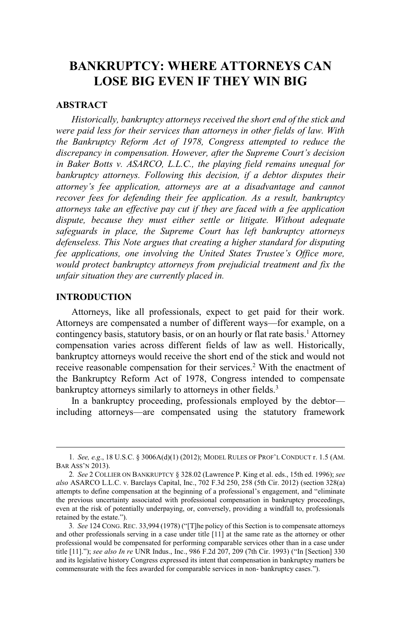# **BANKRUPTCY: WHERE ATTORNEYS CAN LOSE BIG EVEN IF THEY WIN BIG**

#### **ABSTRACT**

*Historically, bankruptcy attorneys received the short end of the stick and were paid less for their services than attorneys in other fields of law. With the Bankruptcy Reform Act of 1978, Congress attempted to reduce the discrepancy in compensation. However, after the Supreme Court's decision in Baker Botts v. ASARCO, L.L.C., the playing field remains unequal for bankruptcy attorneys. Following this decision, if a debtor disputes their attorney's fee application, attorneys are at a disadvantage and cannot recover fees for defending their fee application. As a result, bankruptcy attorneys take an effective pay cut if they are faced with a fee application dispute, because they must either settle or litigate. Without adequate safeguards in place, the Supreme Court has left bankruptcy attorneys defenseless. This Note argues that creating a higher standard for disputing fee applications, one involving the United States Trustee's Office more, would protect bankruptcy attorneys from prejudicial treatment and fix the unfair situation they are currently placed in.*

#### **INTRODUCTION**

Attorneys, like all professionals, expect to get paid for their work. Attorneys are compensated a number of different ways—for example, on a contingency basis, statutory basis, or on an hourly or flat rate basis.<sup>1</sup> Attorney compensation varies across different fields of law as well. Historically, bankruptcy attorneys would receive the short end of the stick and would not receive reasonable compensation for their services.<sup>2</sup> With the enactment of the Bankruptcy Reform Act of 1978, Congress intended to compensate bankruptcy attorneys similarly to attorneys in other fields.<sup>3</sup>

In a bankruptcy proceeding, professionals employed by the debtor including attorneys—are compensated using the statutory framework

<sup>1</sup>*. See, e.g*., 18 U.S.C. § 3006A(d)(1) (2012); MODEL RULES OF PROF'<sup>L</sup> CONDUCT r. 1.5 (AM. BAR ASS'<sup>N</sup> 2013).

<sup>2</sup>*. See* 2 COLLIER ON BANKRUPTCY § 328.02 (Lawrence P. King et al. eds., 15th ed. 1996); *see also* ASARCO L.L.C. v. Barclays Capital, Inc., 702 F.3d 250, 258 (5th Cir. 2012) (section 328(a) attempts to define compensation at the beginning of a professional's engagement, and "eliminate the previous uncertainty associated with professional compensation in bankruptcy proceedings, even at the risk of potentially underpaying, or, conversely, providing a windfall to, professionals retained by the estate.").

<sup>3</sup>*. See* 124 CONG. REC. 33,994 (1978) ("[T]he policy of this Section is to compensate attorneys and other professionals serving in a case under title [11] at the same rate as the attorney or other professional would be compensated for performing comparable services other than in a case under title [11]."); *see also In re* UNR Indus., Inc., 986 F.2d 207, 209 (7th Cir. 1993) ("In [Section] 330 and its legislative history Congress expressed its intent that compensation in bankruptcy matters be commensurate with the fees awarded for comparable services in non- bankruptcy cases.").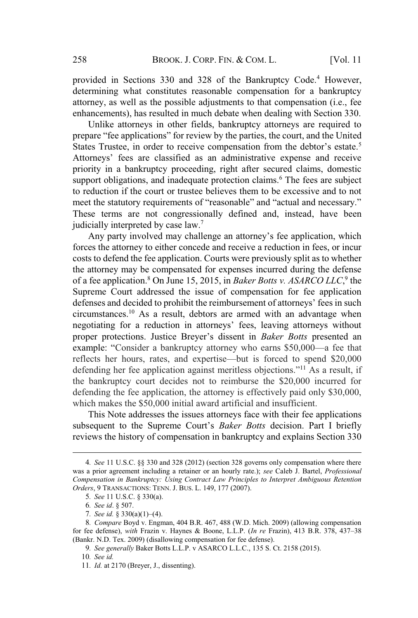provided in Sections 330 and 328 of the Bankruptcy Code.<sup>4</sup> However, determining what constitutes reasonable compensation for a bankruptcy attorney, as well as the possible adjustments to that compensation (i.e., fee enhancements), has resulted in much debate when dealing with Section 330.

Unlike attorneys in other fields, bankruptcy attorneys are required to prepare "fee applications" for review by the parties, the court, and the United States Trustee, in order to receive compensation from the debtor's estate.<sup>5</sup> Attorneys' fees are classified as an administrative expense and receive priority in a bankruptcy proceeding, right after secured claims, domestic support obligations, and inadequate protection claims.<sup>6</sup> The fees are subject to reduction if the court or trustee believes them to be excessive and to not meet the statutory requirements of "reasonable" and "actual and necessary." These terms are not congressionally defined and, instead, have been judicially interpreted by case law.<sup>7</sup>

Any party involved may challenge an attorney's fee application, which forces the attorney to either concede and receive a reduction in fees, or incur costs to defend the fee application. Courts were previously split as to whether the attorney may be compensated for expenses incurred during the defense of a fee application.<sup>8</sup> On June 15, 2015, in *Baker Botts v. ASARCO LLC*, 9 the Supreme Court addressed the issue of compensation for fee application defenses and decided to prohibit the reimbursement of attorneys' fees in such circumstances.<sup>10</sup> As a result, debtors are armed with an advantage when negotiating for a reduction in attorneys' fees, leaving attorneys without proper protections. Justice Breyer's dissent in *Baker Botts* presented an example: "Consider a bankruptcy attorney who earns \$50,000—a fee that reflects her hours, rates, and expertise—but is forced to spend \$20,000 defending her fee application against meritless objections."<sup>11</sup> As a result, if the bankruptcy court decides not to reimburse the \$20,000 incurred for defending the fee application, the attorney is effectively paid only \$30,000, which makes the \$50,000 initial award artificial and insufficient.

This Note addresses the issues attorneys face with their fee applications subsequent to the Supreme Court's *Baker Botts* decision. Part I briefly reviews the history of compensation in bankruptcy and explains Section 330

<sup>4</sup>*. See* 11 U.S.C. §§ 330 and 328 (2012) (section 328 governs only compensation where there was a prior agreement including a retainer or an hourly rate.); *see* Caleb J. Bartel, *Professional Compensation in Bankruptcy: Using Contract Law Principles to Interpret Ambiguous Retention Orders*, 9 TRANSACTIONS: TENN. J. BUS. L. 149, 177 (2007).

<sup>5</sup>*. See* 11 U.S.C. § 330(a).

<sup>6</sup>*. See id*. § 507.

<sup>7</sup>*. See id.* § 330(a)(1)–(4).

<sup>8</sup>*. Compare* Boyd v. Engman, 404 B.R. 467, 488 (W.D. Mich. 2009) (allowing compensation for fee defense), *with* Frazin v. Haynes & Boone, L.L.P. (*In re* Frazin), 413 B.R. 378, 437–38 (Bankr. N.D. Tex. 2009) (disallowing compensation for fee defense).

<sup>9</sup>*. See generally* Baker Botts L.L.P. v ASARCO L.L.C., 135 S. Ct. 2158 (2015).

<sup>10</sup>*. See id.*

<sup>11</sup>*. Id.* at 2170 (Breyer, J., dissenting).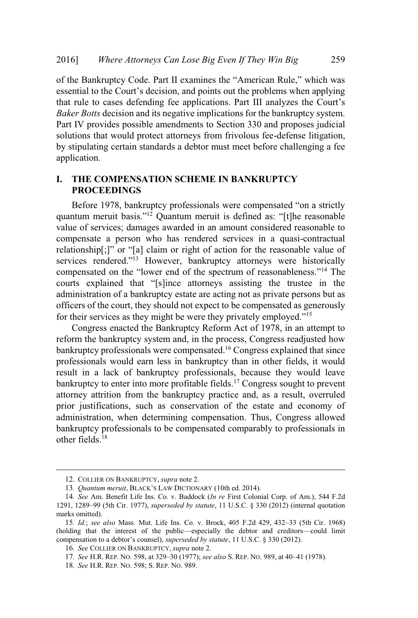of the Bankruptcy Code. Part II examines the "American Rule," which was essential to the Court's decision, and points out the problems when applying that rule to cases defending fee applications. Part III analyzes the Court's *Baker Botts* decision and its negative implications for the bankruptcy system. Part IV provides possible amendments to Section 330 and proposes judicial solutions that would protect attorneys from frivolous fee-defense litigation, by stipulating certain standards a debtor must meet before challenging a fee application.

## **I. THE COMPENSATION SCHEME IN BANKRUPTCY PROCEEDINGS**

Before 1978, bankruptcy professionals were compensated "on a strictly quantum meruit basis."<sup>12</sup> Quantum meruit is defined as: "[t]he reasonable value of services; damages awarded in an amount considered reasonable to compensate a person who has rendered services in a quasi-contractual relationship[;]" or "[a] claim or right of action for the reasonable value of services rendered."<sup>13</sup> However, bankruptcy attorneys were historically compensated on the "lower end of the spectrum of reasonableness."<sup>14</sup> The courts explained that "[s]ince attorneys assisting the trustee in the administration of a bankruptcy estate are acting not as private persons but as officers of the court, they should not expect to be compensated as generously for their services as they might be were they privately employed."<sup>15</sup>

Congress enacted the Bankruptcy Reform Act of 1978, in an attempt to reform the bankruptcy system and, in the process, Congress readjusted how bankruptcy professionals were compensated.<sup>16</sup> Congress explained that since professionals would earn less in bankruptcy than in other fields, it would result in a lack of bankruptcy professionals, because they would leave bankruptcy to enter into more profitable fields.<sup>17</sup> Congress sought to prevent attorney attrition from the bankruptcy practice and, as a result, overruled prior justifications, such as conservation of the estate and economy of administration, when determining compensation. Thus, Congress allowed bankruptcy professionals to be compensated comparably to professionals in other fields $18$ 

<sup>12</sup>. COLLIER ON BANKRUPTCY, *supra* note 2.

<sup>13</sup>*. Quantum meruit*, BLACK'<sup>S</sup> LAW DICTIONARY (10th ed. 2014).

<sup>14</sup>*. See* Am. Benefit Life Ins. Co. v. Baddock (*In re* First Colonial Corp. of Am.), 544 F.2d 1291, 1289–99 (5th Cir. 1977), *superseded by statute*, 11 U.S.C. § 330 (2012) (internal quotation marks omitted).

<sup>15</sup>*. Id.*; *see also* Mass. Mut. Life Ins. Co. v. Brock, 405 F.2d 429, 432–33 (5th Cir. 1968) (holding that the interest of the public—especially the debtor and creditors—could limit compensation to a debtor's counsel), *superseded by statute*, 11 U.S.C. § 330 (2012).

<sup>16</sup>*. See* COLLIER ON BANKRUPTCY, *supra* note 2.

<sup>17</sup>*. See* H.R. REP. NO. 598, at 329–30 (1977); *see also* S. REP. NO. 989, at 40–41 (1978).

<sup>18</sup>*. See* H.R. REP. NO. 598; S. REP. NO. 989.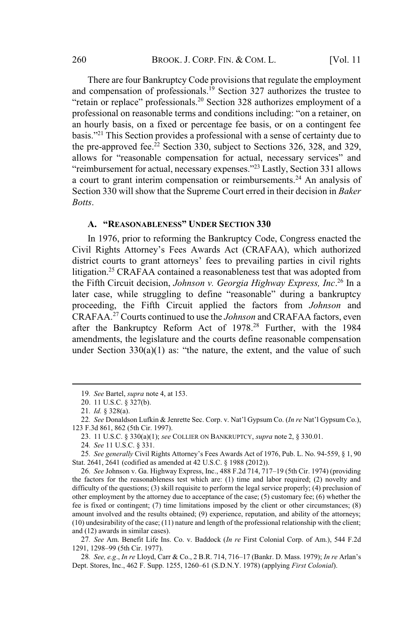There are four Bankruptcy Code provisions that regulate the employment and compensation of professionals.<sup>19</sup> Section 327 authorizes the trustee to "retain or replace" professionals.<sup>20</sup> Section 328 authorizes employment of a professional on reasonable terms and conditions including: "on a retainer, on an hourly basis, on a fixed or percentage fee basis, or on a contingent fee basis."<sup>21</sup> This Section provides a professional with a sense of certainty due to the pre-approved fee.<sup>22</sup> Section 330, subject to Sections 326, 328, and 329, allows for "reasonable compensation for actual, necessary services" and "reimbursement for actual, necessary expenses."<sup>23</sup> Lastly, Section 331 allows a court to grant interim compensation or reimbursements.<sup>24</sup> An analysis of Section 330 will show that the Supreme Court erred in their decision in *Baker Botts*.

# **A. "REASONABLENESS" UNDER SECTION 330**

In 1976, prior to reforming the Bankruptcy Code, Congress enacted the Civil Rights Attorney's Fees Awards Act (CRAFAA), which authorized district courts to grant attorneys' fees to prevailing parties in civil rights litigation.<sup>25</sup> CRAFAA contained a reasonableness test that was adopted from the Fifth Circuit decision, *Johnson v. Georgia Highway Express, Inc*. <sup>26</sup> In a later case, while struggling to define "reasonable" during a bankruptcy proceeding, the Fifth Circuit applied the factors from *Johnson* and CRAFAA.<sup>27</sup> Courts continued to use the *Johnson* and CRAFAA factors, even after the Bankruptcy Reform Act of 1978.<sup>28</sup> Further, with the 1984 amendments, the legislature and the courts define reasonable compensation under Section  $330(a)(1)$  as: "the nature, the extent, and the value of such

26*. See* Johnson v. Ga. Highway Express, Inc., 488 F.2d 714, 717–19 (5th Cir. 1974) (providing the factors for the reasonableness test which are: (1) time and labor required; (2) novelty and difficulty of the questions; (3) skill requisite to perform the legal service properly; (4) preclusion of other employment by the attorney due to acceptance of the case; (5) customary fee; (6) whether the fee is fixed or contingent; (7) time limitations imposed by the client or other circumstances; (8) amount involved and the results obtained; (9) experience, reputation, and ability of the attorneys; (10) undesirability of the case; (11) nature and length of the professional relationship with the client; and (12) awards in similar cases).

27*. See* Am. Benefit Life Ins. Co. v. Baddock (*In re* First Colonial Corp. of Am.), 544 F.2d 1291, 1298–99 (5th Cir. 1977).

28*. See, e.g*., *In re* Lloyd, Carr & Co., 2 B.R. 714, 716–17 (Bankr. D. Mass. 1979); *In re* Arlan's Dept. Stores, Inc., 462 F. Supp. 1255, 1260–61 (S.D.N.Y. 1978) (applying *First Colonial*).

<sup>19</sup>*. See* Bartel, *supra* note 4, at 153.

<sup>20</sup>. 11 U.S.C. § 327(b).

<sup>21</sup>*. Id.* § 328(a).

<sup>22</sup>*. See* Donaldson Lufkin & Jenrette Sec. Corp. v. Nat'l Gypsum Co. (*In re* Nat'l Gypsum Co.), 123 F.3d 861, 862 (5th Cir. 1997).

<sup>23</sup>. 11 U.S.C. § 330(a)(1); *see* COLLIER ON BANKRUPTCY, *supra* note 2, § 330.01.

<sup>24</sup>*. See* 11 U.S.C. § 331.

<sup>25</sup>*. See generally* Civil Rights Attorney's Fees Awards Act of 1976, Pub. L. No. 94-559, § 1, 90 Stat. 2641, 2641 (codified as amended at 42 U.S.C. § 1988 (2012)).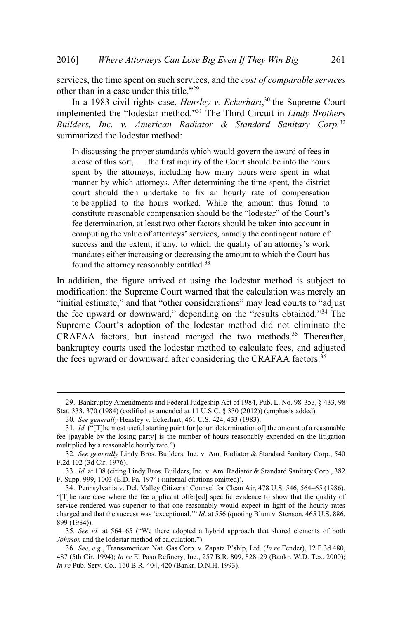services, the time spent on such services, and the *cost of comparable services* other than in a case under this title."<sup>29</sup>

In a 1983 civil rights case, *Hensley v. Eckerhart*, <sup>30</sup> the Supreme Court implemented the "lodestar method."<sup>31</sup> The Third Circuit in *Lindy Brothers Builders, Inc. v. American Radiator & Standard Sanitary Corp.*<sup>32</sup> summarized the lodestar method:

In discussing the proper standards which would govern the award of fees in a case of this sort, . . . the first inquiry of the Court should be into the hours spent by the attorneys, including how many hours were spent in what manner by which attorneys. After determining the time spent, the district court should then undertake to fix an hourly rate of compensation to be applied to the hours worked. While the amount thus found to constitute reasonable compensation should be the "lodestar" of the Court's fee determination, at least two other factors should be taken into account in computing the value of attorneys' services, namely the contingent nature of success and the extent, if any, to which the quality of an attorney's work mandates either increasing or decreasing the amount to which the Court has found the attorney reasonably entitled.<sup>33</sup>

In addition, the figure arrived at using the lodestar method is subject to modification: the Supreme Court warned that the calculation was merely an "initial estimate," and that "other considerations" may lead courts to "adjust the fee upward or downward," depending on the "results obtained."<sup>34</sup> The Supreme Court's adoption of the lodestar method did not eliminate the CRAFAA factors, but instead merged the two methods.<sup>35</sup> Thereafter, bankruptcy courts used the lodestar method to calculate fees, and adjusted the fees upward or downward after considering the CRAFAA factors.<sup>36</sup>

<sup>29</sup>. Bankruptcy Amendments and Federal Judgeship Act of 1984, Pub. L. No. 98-353, § 433, 98 Stat. 333, 370 (1984) (codified as amended at 11 U.S.C. § 330 (2012)) (emphasis added).

<sup>30</sup>*. See generally* Hensley v. Eckerhart, 461 U.S. 424, 433 (1983).

<sup>31</sup>*. Id.* ("[T]he most useful starting point for [court determination of] the amount of a reasonable fee [payable by the losing party] is the number of hours reasonably expended on the litigation multiplied by a reasonable hourly rate.").

<sup>32</sup>*. See generally* Lindy Bros. Builders, Inc. v. Am. Radiator & Standard Sanitary Corp., 540 F.2d 102 (3d Cir. 1976).

<sup>33</sup>*. Id.* at 108 (citing Lindy Bros. Builders, Inc. v. Am. Radiator & Standard Sanitary Corp., 382 F. Supp. 999, 1003 (E.D. Pa. 1974) (internal citations omitted)).

<sup>34</sup>. Pennsylvania v. Del. Valley Citizens' Counsel for Clean Air, 478 U.S. 546, 564–65 (1986). "[T]he rare case where the fee applicant offer[ed] specific evidence to show that the quality of service rendered was superior to that one reasonably would expect in light of the hourly rates charged and that the success was 'exceptional.'" *Id*. at 556 (quoting Blum v. Stenson, 465 U.S. 886, 899 (1984)).

<sup>35</sup>*. See id.* at 564–65 ("We there adopted a hybrid approach that shared elements of both *Johnson* and the lodestar method of calculation.").

<sup>36</sup>*. See, e.g.*, Transamerican Nat. Gas Corp. v. Zapata P'ship, Ltd. (*In re* Fender), 12 F.3d 480, 487 (5th Cir. 1994); *In re* El Paso Refinery, Inc., 257 B.R. 809, 828–29 (Bankr. W.D. Tex. 2000); *In re* Pub. Serv. Co., 160 B.R. 404, 420 (Bankr. D.N.H. 1993).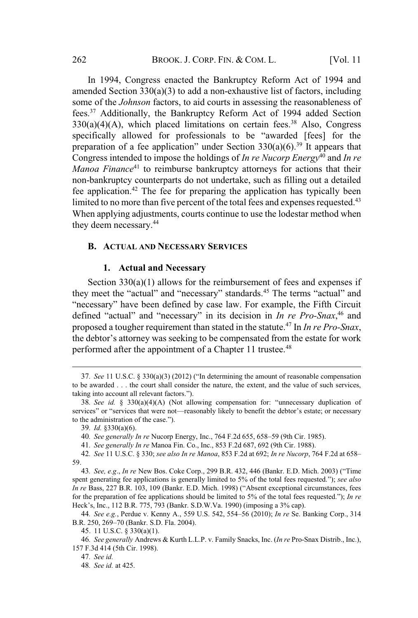In 1994, Congress enacted the Bankruptcy Reform Act of 1994 and amended Section 330(a)(3) to add a non-exhaustive list of factors, including some of the *Johnson* factors, to aid courts in assessing the reasonableness of fees.<sup>37</sup> Additionally, the Bankruptcy Reform Act of 1994 added Section  $330(a)(4)(A)$ , which placed limitations on certain fees.<sup>38</sup> Also, Congress specifically allowed for professionals to be "awarded [fees] for the preparation of a fee application" under Section  $330(a)(6)$ .<sup>39</sup> It appears that Congress intended to impose the holdings of *In re Nucorp Energy*<sup>40</sup> and *In re Manoa Finance*<sup>41</sup> to reimburse bankruptcy attorneys for actions that their non-bankruptcy counterparts do not undertake, such as filling out a detailed fee application.<sup>42</sup> The fee for preparing the application has typically been limited to no more than five percent of the total fees and expenses requested.<sup>43</sup> When applying adjustments, courts continue to use the lodestar method when they deem necessary.<sup>44</sup>

#### **B. ACTUAL AND NECESSARY SERVICES**

#### **1. Actual and Necessary**

Section  $330(a)(1)$  allows for the reimbursement of fees and expenses if they meet the "actual" and "necessary" standards.<sup>45</sup> The terms "actual" and "necessary" have been defined by case law. For example, the Fifth Circuit defined "actual" and "necessary" in its decision in *In re Pro-Snax*, <sup>46</sup> and proposed a tougher requirement than stated in the statute.<sup>47</sup> In *In re Pro-Snax*, the debtor's attorney was seeking to be compensated from the estate for work performed after the appointment of a Chapter 11 trustee.<sup>48</sup>

40*. See generally In re* Nucorp Energy, Inc., 764 F.2d 655, 658–59 (9th Cir. 1985).

41*. See generally In re* Manoa Fin. Co., Inc., 853 F.2d 687, 692 (9th Cir. 1988).

<sup>37</sup>*. See* 11 U.S.C. § 330(a)(3) (2012) ("In determining the amount of reasonable compensation to be awarded . . . the court shall consider the nature, the extent, and the value of such services, taking into account all relevant factors.").

<sup>38</sup>*. See id.* § 330(a)(4)(A) (Not allowing compensation for: "unnecessary duplication of services" or "services that were not—reasonably likely to benefit the debtor's estate; or necessary to the administration of the case.").

<sup>39</sup>*. Id.* §330(a)(6).

<sup>42</sup>*. See* 11 U.S.C. § 330; *see also In re Manoa*, 853 F.2d at 692; *In re Nucorp*, 764 F.2d at 658– 59.

<sup>43</sup>*. See, e.g*., *In re* New Bos. Coke Corp., 299 B.R. 432, 446 (Bankr. E.D. Mich. 2003) ("Time spent generating fee applications is generally limited to 5% of the total fees requested."); *see also In re* Bass, 227 B.R. 103, 109 (Bankr. E.D. Mich. 1998) ("Absent exceptional circumstances, fees for the preparation of fee applications should be limited to 5% of the total fees requested."); *In re* Heck's, Inc., 112 B.R. 775, 793 (Bankr. S.D.W.Va. 1990) (imposing a 3% cap).

<sup>44</sup>*. See e.g.*, Perdue v. Kenny A., 559 U.S. 542, 554–56 (2010); *In re* Se. Banking Corp., 314 B.R. 250, 269–70 (Bankr. S.D. Fla. 2004).

<sup>45</sup>. 11 U.S.C. § 330(a)(1).

<sup>46</sup>*. See generally* Andrews & Kurth L.L.P. v. Family Snacks, Inc. (*In re* Pro-Snax Distrib., Inc.), 157 F.3d 414 (5th Cir. 1998).

<sup>47</sup>*. See id.*

<sup>48</sup>*. See id.* at 425.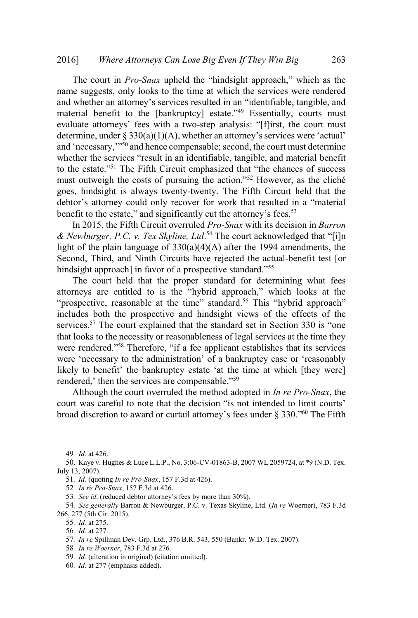The court in *Pro-Snax* upheld the "hindsight approach," which as the name suggests, only looks to the time at which the services were rendered and whether an attorney's services resulted in an "identifiable, tangible, and material benefit to the [bankruptcy] estate."<sup>49</sup> Essentially, courts must evaluate attorneys' fees with a two-step analysis: "[f]irst, the court must determine, under  $\S 330(a)(1)(A)$ , whether an attorney's services were 'actual' and 'necessary,"<sup>50</sup> and hence compensable; second, the court must determine whether the services "result in an identifiable, tangible, and material benefit to the estate."<sup>51</sup> The Fifth Circuit emphasized that "the chances of success must outweigh the costs of pursuing the action."<sup>52</sup> However, as the cliché goes, hindsight is always twenty-twenty. The Fifth Circuit held that the debtor's attorney could only recover for work that resulted in a "material benefit to the estate," and significantly cut the attorney's fees.<sup>53</sup>

In 2015, the Fifth Circuit overruled *Pro-Snax* with its decision in *Barron & Newburger, P.C. v. Tex Skyline, Ltd*. <sup>54</sup> The court acknowledged that "[i]n light of the plain language of  $330(a)(4)(A)$  after the 1994 amendments, the Second, Third, and Ninth Circuits have rejected the actual-benefit test [or hindsight approach] in favor of a prospective standard."<sup>55</sup>

The court held that the proper standard for determining what fees attorneys are entitled to is the "hybrid approach," which looks at the "prospective, reasonable at the time" standard.<sup>56</sup> This "hybrid approach" includes both the prospective and hindsight views of the effects of the services.<sup>57</sup> The court explained that the standard set in Section 330 is "one that looks to the necessity or reasonableness of legal services at the time they were rendered."<sup>58</sup> Therefore, "if a fee applicant establishes that its services were 'necessary to the administration' of a bankruptcy case or 'reasonably likely to benefit' the bankruptcy estate 'at the time at which [they were] rendered,' then the services are compensable."<sup>59</sup>

Although the court overruled the method adopted in *In re Pro-Snax*, the court was careful to note that the decision "is not intended to limit courts' broad discretion to award or curtail attorney's fees under  $\S 330$ ."<sup>60</sup> The Fifth

<sup>49</sup>*. Id.* at 426.

<sup>50</sup>. Kaye v. Hughes & Luce L.L.P., No. 3:06-CV-01863-B, 2007 WL 2059724, at \*9 (N.D. Tex. July 13, 2007).

<sup>51</sup>*. Id.* (quoting *In re Pro-Snax*, 157 F.3d at 426).

<sup>52</sup>*. In re Pro-Snax*, 157 F.3d at 426.

<sup>53</sup>*. See id*. (reduced debtor attorney's fees by more than 30%).

<sup>54</sup>*. See generally* Barron & Newburger, P.C. v. Texas Skyline, Ltd. (*In re* Woerner), 783 F.3d 266, 277 (5th Cir. 2015).

<sup>55</sup>*. Id.* at 275.

<sup>56</sup>*. Id.* at 277.

<sup>57</sup>*. In re* Spillman Dev. Grp. Ltd., 376 B.R. 543, 550 (Bankr. W.D. Tex. 2007).

<sup>58</sup>*. In re Woerner*, 783 F.3d at 276.

<sup>59</sup>*. Id.* (alteration in original) (citation omitted).

<sup>60</sup>*. Id.* at 277 (emphasis added).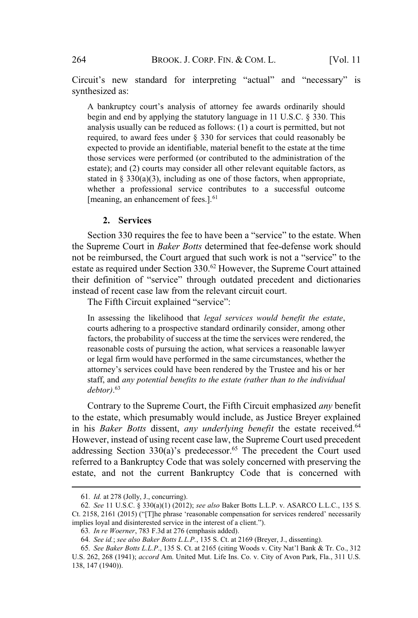Circuit's new standard for interpreting "actual" and "necessary" is synthesized as:

A bankruptcy court's analysis of attorney fee awards ordinarily should begin and end by applying the statutory language in 11 U.S.C. § 330. This analysis usually can be reduced as follows: (1) a court is permitted, but not required, to award fees under § 330 for services that could reasonably be expected to provide an identifiable, material benefit to the estate at the time those services were performed (or contributed to the administration of the estate); and (2) courts may consider all other relevant equitable factors, as stated in § 330(a)(3), including as one of those factors, when appropriate, whether a professional service contributes to a successful outcome [meaning, an enhancement of fees.].<sup>61</sup>

#### **2. Services**

Section 330 requires the fee to have been a "service" to the estate. When the Supreme Court in *Baker Botts* determined that fee-defense work should not be reimbursed, the Court argued that such work is not a "service" to the estate as required under Section 330.<sup>62</sup> However, the Supreme Court attained their definition of "service" through outdated precedent and dictionaries instead of recent case law from the relevant circuit court.

The Fifth Circuit explained "service":

In assessing the likelihood that *legal services would benefit the estate*, courts adhering to a prospective standard ordinarily consider, among other factors, the probability of success at the time the services were rendered, the reasonable costs of pursuing the action, what services a reasonable lawyer or legal firm would have performed in the same circumstances, whether the attorney's services could have been rendered by the Trustee and his or her staff, and *any potential benefits to the estate (rather than to the individual debtor)*. 63

Contrary to the Supreme Court, the Fifth Circuit emphasized *any* benefit to the estate, which presumably would include, as Justice Breyer explained in his *Baker Botts* dissent, *any underlying benefit* the estate received.<sup>64</sup> However, instead of using recent case law, the Supreme Court used precedent addressing Section  $330(a)$ 's predecessor.<sup>65</sup> The precedent the Court used referred to a Bankruptcy Code that was solely concerned with preserving the estate, and not the current Bankruptcy Code that is concerned with

<sup>61</sup>*. Id.* at 278 (Jolly, J., concurring).

<sup>62</sup>*. See* 11 U.S.C. § 330(a)(1) (2012); *see also* Baker Botts L.L.P. v. ASARCO L.L.C., 135 S. Ct. 2158, 2161 (2015) ("[T]he phrase 'reasonable compensation for services rendered' necessarily implies loyal and disinterested service in the interest of a client.").

<sup>63</sup>*. In re Woerner*, 783 F.3d at 276 (emphasis added).

<sup>64</sup>*. See id.*; *see also Baker Botts L.L.P.*, 135 S. Ct. at 2169 (Breyer, J., dissenting).

<sup>65</sup>*. See Baker Botts L.L.P*., 135 S. Ct. at 2165 (citing Woods v. City Nat'l Bank & Tr. Co., 312 U.S. 262, 268 (1941); *accord* Am. United Mut. Life Ins. Co. v. City of Avon Park, Fla., 311 U.S. 138, 147 (1940)).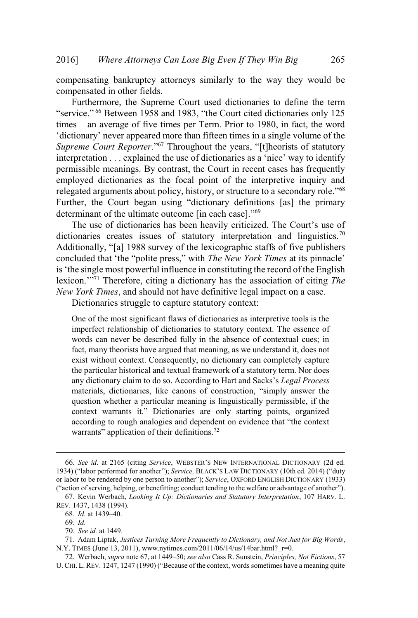compensating bankruptcy attorneys similarly to the way they would be compensated in other fields.

Furthermore, the Supreme Court used dictionaries to define the term "service." <sup>66</sup> Between 1958 and 1983, "the Court cited dictionaries only 125 times – an average of five times per Term. Prior to 1980, in fact, the word 'dictionary' never appeared more than fifteen times in a single volume of the *Supreme Court Reporter*."<sup>67</sup> Throughout the years, "[t]heorists of statutory interpretation . . . explained the use of dictionaries as a 'nice' way to identify permissible meanings. By contrast, the Court in recent cases has frequently employed dictionaries as the focal point of the interpretive inquiry and relegated arguments about policy, history, or structure to a secondary role."<sup>68</sup> Further, the Court began using "dictionary definitions [as] the primary determinant of the ultimate outcome [in each case]."<sup>69</sup>

The use of dictionaries has been heavily criticized. The Court's use of dictionaries creates issues of statutory interpretation and linguistics.<sup>70</sup> Additionally, "[a] 1988 survey of the lexicographic staffs of five publishers concluded that 'the "polite press," with *The New York Times* at its pinnacle' is'the single most powerful influence in constituting the record of the English lexicon.'" <sup>71</sup> Therefore, citing a dictionary has the association of citing *The New York Times*, and should not have definitive legal impact on a case.

Dictionaries struggle to capture statutory context:

One of the most significant flaws of dictionaries as interpretive tools is the imperfect relationship of dictionaries to statutory context. The essence of words can never be described fully in the absence of contextual cues; in fact, many theorists have argued that meaning, as we understand it, does not exist without context. Consequently, no dictionary can completely capture the particular historical and textual framework of a statutory term. Nor does any dictionary claim to do so. According to Hart and Sacks's *Legal Process* materials, dictionaries, like canons of construction, "simply answer the question whether a particular meaning is linguistically permissible, if the context warrants it." Dictionaries are only starting points, organized according to rough analogies and dependent on evidence that "the context warrants" application of their definitions.<sup>72</sup>

<sup>66</sup>*. See id*. at 2165 (citing *Service*, WEBSTER'<sup>S</sup> NEW INTERNATIONAL DICTIONARY (2d ed. 1934) ("labor performed for another"); *Service,* BLACK'<sup>S</sup> LAW DICTIONARY (10th ed. 2014) ("duty or labor to be rendered by one person to another"); *Service*, OXFORD ENGLISH DICTIONARY (1933) ("action of serving, helping, or benefitting; conduct tending to the welfare or advantage of another").

<sup>67</sup>. Kevin Werbach, *Looking It Up: Dictionaries and Statutory Interpretation*, 107 HARV. L. REV. 1437, 1438 (1994).

<sup>68</sup>*. Id.* at 1439–40.

<sup>69</sup>*. Id.*

<sup>70</sup>*. See id.* at 1449.

<sup>71</sup>. Adam Liptak, *Justices Turning More Frequently to Dictionary, and Not Just for Big Words*, N.Y. TIMES (June 13, 2011), www.nytimes.com/2011/06/14/us/14bar.html?  $r=0$ .

<sup>72</sup>. Werbach, *supra* note 67, at 1449–50; *see also* Cass R. Sunstein, *Principles, Not Fictions*, 57 U. CHI. L. REV. 1247, 1247 (1990) ("Because of the context, words sometimes have a meaning quite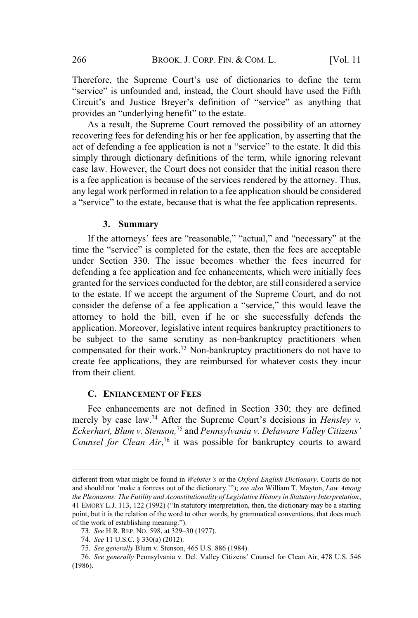Therefore, the Supreme Court's use of dictionaries to define the term "service" is unfounded and, instead, the Court should have used the Fifth Circuit's and Justice Breyer's definition of "service" as anything that provides an "underlying benefit" to the estate.

As a result, the Supreme Court removed the possibility of an attorney recovering fees for defending his or her fee application, by asserting that the act of defending a fee application is not a "service" to the estate. It did this simply through dictionary definitions of the term, while ignoring relevant case law. However, the Court does not consider that the initial reason there is a fee application is because of the services rendered by the attorney. Thus, any legal work performed in relation to a fee application should be considered a "service" to the estate, because that is what the fee application represents.

#### **3. Summary**

If the attorneys' fees are "reasonable," "actual," and "necessary" at the time the "service" is completed for the estate, then the fees are acceptable under Section 330. The issue becomes whether the fees incurred for defending a fee application and fee enhancements, which were initially fees granted for the services conducted for the debtor, are still considered a service to the estate. If we accept the argument of the Supreme Court, and do not consider the defense of a fee application a "service," this would leave the attorney to hold the bill, even if he or she successfully defends the application. Moreover, legislative intent requires bankruptcy practitioners to be subject to the same scrutiny as non-bankruptcy practitioners when compensated for their work.<sup>73</sup> Non-bankruptcy practitioners do not have to create fee applications, they are reimbursed for whatever costs they incur from their client.

#### **C. ENHANCEMENT OF FEES**

Fee enhancements are not defined in Section 330; they are defined merely by case law.<sup>74</sup> After the Supreme Court's decisions in *Hensley v. Eckerhart, Blum v. Stenson,*<sup>75</sup> and *Pennsylvania v. Delaware Valley Citizens' Counsel for Clean Air*, <sup>76</sup> it was possible for bankruptcy courts to award

different from what might be found in *Webster's* or the *Oxford English Dictionary*. Courts do not and should not 'make a fortress out of the dictionary.'"); *see also* William T. Mayton, *Law Among the Pleonasms: The Futility and Aconstitutionality of Legislative History in Statutory Interpretation*, 41 EMORY L.J. 113, 122 (1992) ("In statutory interpretation, then, the dictionary may be a starting point, but it is the relation of the word to other words, by grammatical conventions, that does much of the work of establishing meaning.").

<sup>73</sup>*. See* H.R. REP. NO. 598, at 329–30 (1977).

<sup>74</sup>*. See* 11 U.S.C. § 330(a) (2012).

<sup>75</sup>*. See generally* Blum v. Stenson, 465 U.S. 886 (1984).

<sup>76</sup>*. See generally* Pennsylvania v. Del. Valley Citizens' Counsel for Clean Air, 478 U.S. 546 (1986).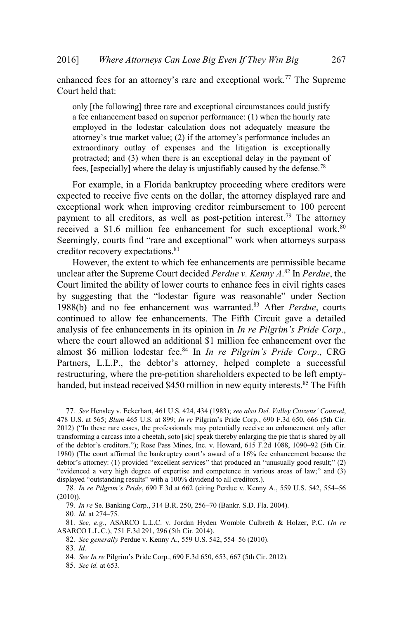enhanced fees for an attorney's rare and exceptional work.<sup>77</sup> The Supreme Court held that:

only [the following] three rare and exceptional circumstances could justify a fee enhancement based on superior performance: (1) when the hourly rate employed in the lodestar calculation does not adequately measure the attorney's true market value; (2) if the attorney's performance includes an extraordinary outlay of expenses and the litigation is exceptionally protracted; and (3) when there is an exceptional delay in the payment of fees, [especially] where the delay is unjustifiably caused by the defense.<sup>78</sup>

For example, in a Florida bankruptcy proceeding where creditors were expected to receive five cents on the dollar, the attorney displayed rare and exceptional work when improving creditor reimbursement to 100 percent payment to all creditors, as well as post-petition interest.<sup>79</sup> The attorney received a \$1.6 million fee enhancement for such exceptional work.<sup>80</sup> Seemingly, courts find "rare and exceptional" work when attorneys surpass creditor recovery expectations.<sup>81</sup>

However, the extent to which fee enhancements are permissible became unclear after the Supreme Court decided *Perdue v. Kenny A*. <sup>82</sup> In *Perdue*, the Court limited the ability of lower courts to enhance fees in civil rights cases by suggesting that the "lodestar figure was reasonable" under Section 1988(b) and no fee enhancement was warranted.<sup>83</sup> After *Perdue*, courts continued to allow fee enhancements. The Fifth Circuit gave a detailed analysis of fee enhancements in its opinion in *In re Pilgrim's Pride Corp*., where the court allowed an additional \$1 million fee enhancement over the almost \$6 million lodestar fee.<sup>84</sup> In *In re Pilgrim's Pride Corp*., CRG Partners, L.L.P., the debtor's attorney, helped complete a successful restructuring, where the pre-petition shareholders expected to be left emptyhanded, but instead received \$450 million in new equity interests.<sup>85</sup> The Fifth

80*. Id.* at 274–75.

82*. See generally* Perdue v. Kenny A., 559 U.S. 542, 554–56 (2010).

<sup>77</sup>*. See* Hensley v. Eckerhart, 461 U.S. 424, 434 (1983); *see also Del. Valley Citizens' Counsel*, 478 U.S. at 565; *Blum* 465 U.S. at 899; *In re* Pilgrim's Pride Corp., 690 F.3d 650, 666 (5th Cir. 2012) ("In these rare cases, the professionals may potentially receive an enhancement only after transforming a carcass into a cheetah, soto [sic] speak thereby enlarging the pie that is shared by all of the debtor's creditors."); Rose Pass Mines, Inc. v. Howard, 615 F.2d 1088, 1090–92 (5th Cir. 1980) (The court affirmed the bankruptcy court's award of a 16% fee enhancement because the debtor's attorney: (1) provided "excellent services" that produced an "unusually good result;" (2) "evidenced a very high degree of expertise and competence in various areas of law;" and (3) displayed "outstanding results" with a 100% dividend to all creditors.).

<sup>78</sup>*. In re Pilgrim's Pride*, 690 F.3d at 662 (citing Perdue v. Kenny A., 559 U.S. 542, 554–56 (2010)).

<sup>79</sup>*. In re* Se. Banking Corp., 314 B.R. 250, 256–70 (Bankr. S.D. Fla. 2004).

<sup>81</sup>*. See, e.g.*, ASARCO L.L.C. v. Jordan Hyden Womble Culbreth & Holzer, P.C. (*In re* ASARCO L.L.C.), 751 F.3d 291, 296 (5th Cir. 2014).

<sup>83</sup>*. Id.*

<sup>84</sup>*. See In re* Pilgrim's Pride Corp., 690 F.3d 650, 653, 667 (5th Cir. 2012).

<sup>85</sup>*. See id.* at 653.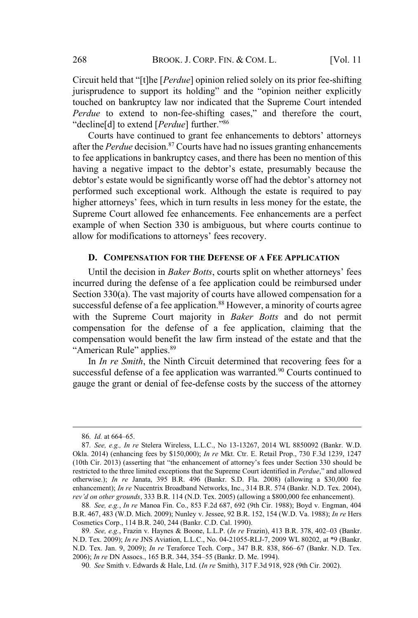Circuit held that "[t]he [*Perdue*] opinion relied solely on its prior fee-shifting jurisprudence to support its holding" and the "opinion neither explicitly touched on bankruptcy law nor indicated that the Supreme Court intended *Perdue* to extend to non-fee-shifting cases," and therefore the court, "decline[d] to extend [*Perdue*] further."<sup>86</sup>

Courts have continued to grant fee enhancements to debtors' attorneys after the *Perdue* decision.<sup>87</sup> Courts have had no issues granting enhancements to fee applications in bankruptcy cases, and there has been no mention of this having a negative impact to the debtor's estate, presumably because the debtor's estate would be significantly worse off had the debtor's attorney not performed such exceptional work. Although the estate is required to pay higher attorneys' fees, which in turn results in less money for the estate, the Supreme Court allowed fee enhancements. Fee enhancements are a perfect example of when Section 330 is ambiguous, but where courts continue to allow for modifications to attorneys' fees recovery.

### **D. COMPENSATION FOR THE DEFENSE OF A FEE APPLICATION**

Until the decision in *Baker Botts*, courts split on whether attorneys' fees incurred during the defense of a fee application could be reimbursed under Section 330(a). The vast majority of courts have allowed compensation for a successful defense of a fee application.<sup>88</sup> However, a minority of courts agree with the Supreme Court majority in *Baker Botts* and do not permit compensation for the defense of a fee application, claiming that the compensation would benefit the law firm instead of the estate and that the "American Rule" applies.<sup>89</sup>

In *In re Smith*, the Ninth Circuit determined that recovering fees for a successful defense of a fee application was warranted.<sup>90</sup> Courts continued to gauge the grant or denial of fee-defense costs by the success of the attorney

<sup>86</sup>*. Id.* at 664–65.

<sup>87</sup>*. See, e.g., In re* Stelera Wireless, L.L.C., No 13-13267, 2014 WL 8850092 (Bankr. W.D. Okla. 2014) (enhancing fees by \$150,000); *In re* Mkt. Ctr. E. Retail Prop., 730 F.3d 1239, 1247 (10th Cir. 2013) (asserting that "the enhancement of attorney's fees under Section 330 should be restricted to the three limited exceptions that the Supreme Court identified in *Perdue*," and allowed otherwise.); *In re* Janata, 395 B.R. 496 (Bankr. S.D. Fla. 2008) (allowing a \$30,000 fee enhancement); *In re* Nucentrix Broadband Networks, Inc., 314 B.R. 574 (Bankr. N.D. Tex. 2004), *rev'd on other grounds*, 333 B.R. 114 (N.D. Tex. 2005) (allowing a \$800,000 fee enhancement).

<sup>88</sup>*. See, e.g.*, *In re* Manoa Fin. Co., 853 F.2d 687, 692 (9th Cir. 1988); Boyd v. Engman, 404 B.R. 467, 483 (W.D. Mich. 2009); Nunley v. Jessee, 92 B.R. 152, 154 (W.D. Va. 1988); *In re* Hers Cosmetics Corp., 114 B.R. 240, 244 (Bankr. C.D. Cal. 1990).

<sup>89</sup>*. See, e.g.*, Frazin v. Haynes & Boone, L.L.P. (*In re* Frazin), 413 B.R. 378, 402–03 (Bankr. N.D. Tex. 2009); *In re* JNS Aviation, L.L.C., No. 04-21055-RLJ-7, 2009 WL 80202, at \*9 (Bankr. N.D. Tex. Jan. 9, 2009); *In re* Teraforce Tech. Corp., 347 B.R. 838, 866–67 (Bankr. N.D. Tex. 2006); *In re* DN Assocs., 165 B.R. 344, 354–55 (Bankr. D. Me. 1994).

<sup>90</sup>*. See* Smith v. Edwards & Hale, Ltd. (*In re* Smith), 317 F.3d 918, 928 (9th Cir. 2002).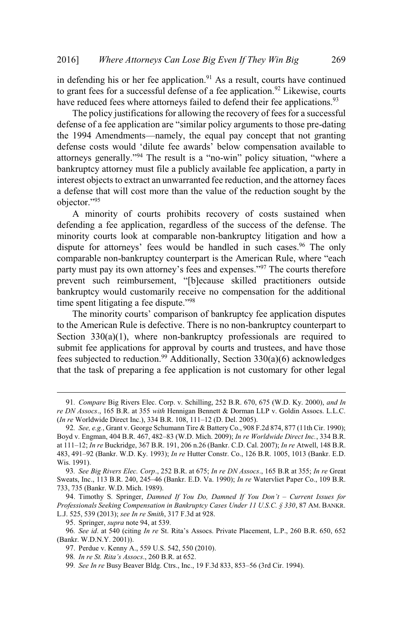in defending his or her fee application. $91$  As a result, courts have continued to grant fees for a successful defense of a fee application.<sup>92</sup> Likewise, courts have reduced fees where attorneys failed to defend their fee applications.<sup>93</sup>

The policy justifications for allowing the recovery of fees for a successful defense of a fee application are "similar policy arguments to those pre-dating the 1994 Amendments—namely, the equal pay concept that not granting defense costs would 'dilute fee awards' below compensation available to attorneys generally."<sup>94</sup> The result is a "no-win" policy situation, "where a bankruptcy attorney must file a publicly available fee application, a party in interest objects to extract an unwarranted fee reduction, and the attorney faces a defense that will cost more than the value of the reduction sought by the objector."<sup>95</sup>

A minority of courts prohibits recovery of costs sustained when defending a fee application, regardless of the success of the defense. The minority courts look at comparable non-bankruptcy litigation and how a dispute for attorneys' fees would be handled in such cases.<sup>96</sup> The only comparable non-bankruptcy counterpart is the American Rule, where "each party must pay its own attorney's fees and expenses."<sup>97</sup> The courts therefore prevent such reimbursement, "[b]ecause skilled practitioners outside bankruptcy would customarily receive no compensation for the additional time spent litigating a fee dispute."<sup>98</sup>

The minority courts' comparison of bankruptcy fee application disputes to the American Rule is defective. There is no non-bankruptcy counterpart to Section 330(a)(1), where non-bankruptcy professionals are required to submit fee applications for approval by courts and trustees, and have those fees subjected to reduction.<sup>99</sup> Additionally, Section 330(a)(6) acknowledges that the task of preparing a fee application is not customary for other legal

<sup>91</sup>*. Compare* Big Rivers Elec. Corp. v. Schilling, 252 B.R. 670, 675 (W.D. Ky. 2000), *and In re DN Assocs*., 165 B.R. at 355 *with* Hennigan Bennett & Dorman LLP v. Goldin Assocs. L.L.C. (*In re* Worldwide Direct Inc.), 334 B.R. 108, 111–12 (D. Del. 2005).

<sup>92</sup>*. See, e.g.*, Grant v. George Schumann Tire & Battery Co., 908 F.2d 874, 877 (11th Cir. 1990); Boyd v. Engman, 404 B.R. 467, 482–83 (W.D. Mich. 2009); *In re Worldwide Direct Inc.*, 334 B.R. at 111–12; *In re* Buckridge, 367 B.R. 191, 206 n.26 (Bankr. C.D. Cal. 2007); *In re* Atwell, 148 B.R. 483, 491–92 (Bankr. W.D. Ky. 1993); *In re* Hutter Constr. Co., 126 B.R. 1005, 1013 (Bankr. E.D. Wis. 1991).

<sup>93</sup>*. See Big Rivers Elec. Corp*., 252 B.R. at 675; *In re DN Assocs*., 165 B.R at 355; *In re* Great Sweats, Inc., 113 B.R. 240, 245–46 (Bankr. E.D. Va. 1990); *In re* Watervliet Paper Co., 109 B.R. 733, 735 (Bankr. W.D. Mich. 1989).

<sup>94</sup>. Timothy S. Springer, *Damned If You Do, Damned If You Don't – Current Issues for Professionals Seeking Compensation in Bankruptcy Cases Under 11 U.S.C. § 330*, 87 AM. BANKR. L.J. 525, 539 (2013); *see In re Smith*, 317 F.3d at 928.

<sup>95</sup>. Springer, *supra* note 94, at 539.

<sup>96</sup>*. See id*. at 540 (citing *In re* St. Rita's Assocs. Private Placement, L.P., 260 B.R. 650, 652 (Bankr. W.D.N.Y. 2001)).

<sup>97</sup>. Perdue v. Kenny A., 559 U.S. 542, 550 (2010).

<sup>98</sup>*. In re St. Rita's Assocs*., 260 B.R. at 652.

<sup>99</sup>*. See In re* Busy Beaver Bldg. Ctrs., Inc., 19 F.3d 833, 853–56 (3rd Cir. 1994).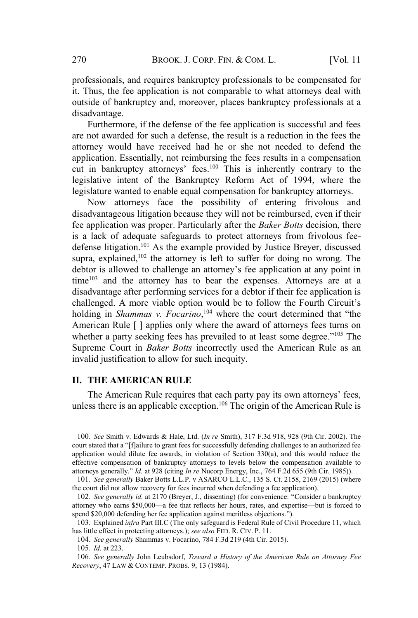professionals, and requires bankruptcy professionals to be compensated for it. Thus, the fee application is not comparable to what attorneys deal with outside of bankruptcy and, moreover, places bankruptcy professionals at a disadvantage.

Furthermore, if the defense of the fee application is successful and fees are not awarded for such a defense, the result is a reduction in the fees the attorney would have received had he or she not needed to defend the application. Essentially, not reimbursing the fees results in a compensation cut in bankruptcy attorneys' fees.<sup>100</sup> This is inherently contrary to the legislative intent of the Bankruptcy Reform Act of 1994, where the legislature wanted to enable equal compensation for bankruptcy attorneys.

Now attorneys face the possibility of entering frivolous and disadvantageous litigation because they will not be reimbursed, even if their fee application was proper. Particularly after the *Baker Botts* decision, there is a lack of adequate safeguards to protect attorneys from frivolous feedefense litigation.<sup>101</sup> As the example provided by Justice Breyer, discussed supra, explained,  $102$  the attorney is left to suffer for doing no wrong. The debtor is allowed to challenge an attorney's fee application at any point in  $time^{103}$  and the attorney has to bear the expenses. Attorneys are at a disadvantage after performing services for a debtor if their fee application is challenged. A more viable option would be to follow the Fourth Circuit's holding in *Shammas v. Focarino*, <sup>104</sup> where the court determined that "the American Rule [ ] applies only where the award of attorneys fees turns on whether a party seeking fees has prevailed to at least some degree."<sup>105</sup> The Supreme Court in *Baker Botts* incorrectly used the American Rule as an invalid justification to allow for such inequity.

#### **II. THE AMERICAN RULE**

The American Rule requires that each party pay its own attorneys' fees, unless there is an applicable exception.<sup>106</sup> The origin of the American Rule is

<sup>100</sup>*. See* Smith v. Edwards & Hale, Ltd. (*In re* Smith), 317 F.3d 918, 928 (9th Cir. 2002). The court stated that a "[f]ailure to grant fees for successfully defending challenges to an authorized fee application would dilute fee awards, in violation of Section 330(a), and this would reduce the effective compensation of bankruptcy attorneys to levels below the compensation available to attorneys generally." *Id.* at 928 (citing *In re* Nucorp Energy, Inc., 764 F.2d 655 (9th Cir. 1985)).

<sup>101</sup>*. See generally* Baker Botts L.L.P. v ASARCO L.L.C., 135 S. Ct. 2158, 2169 (2015) (where the court did not allow recovery for fees incurred when defending a fee application).

<sup>102</sup>*. See generally id.* at 2170 (Breyer, J., dissenting) (for convenience: "Consider a bankruptcy attorney who earns \$50,000—a fee that reflects her hours, rates, and expertise—but is forced to spend \$20,000 defending her fee application against meritless objections.").

<sup>103</sup>. Explained *infra* Part III.C (The only safeguard is Federal Rule of Civil Procedure 11, which has little effect in protecting attorneys.); *see also* FED. R. CIV. P. 11.

<sup>104</sup>*. See generally* Shammas v. Focarino, 784 F.3d 219 (4th Cir. 2015).

<sup>105</sup>*. Id.* at 223.

<sup>106</sup>*. See generally* John Leubsdorf, *Toward a History of the American Rule on Attorney Fee Recovery*, 47 LAW & CONTEMP. PROBS. 9, 13 (1984).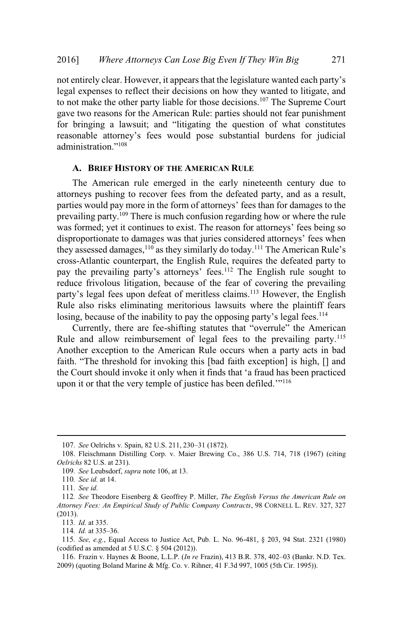not entirely clear. However, it appears that the legislature wanted each party's legal expenses to reflect their decisions on how they wanted to litigate, and to not make the other party liable for those decisions.<sup>107</sup> The Supreme Court gave two reasons for the American Rule: parties should not fear punishment for bringing a lawsuit; and "litigating the question of what constitutes reasonable attorney's fees would pose substantial burdens for judicial administration."<sup>108</sup>

#### **A. BRIEF HISTORY OF THE AMERICAN RULE**

The American rule emerged in the early nineteenth century due to attorneys pushing to recover fees from the defeated party, and as a result, parties would pay more in the form of attorneys' fees than for damages to the prevailing party.<sup>109</sup> There is much confusion regarding how or where the rule was formed; yet it continues to exist. The reason for attorneys' fees being so disproportionate to damages was that juries considered attorneys' fees when they assessed damages,<sup>110</sup> as they similarly do today.<sup>111</sup> The American Rule's cross-Atlantic counterpart, the English Rule, requires the defeated party to pay the prevailing party's attorneys' fees.<sup>112</sup> The English rule sought to reduce frivolous litigation, because of the fear of covering the prevailing party's legal fees upon defeat of meritless claims.<sup>113</sup> However, the English Rule also risks eliminating meritorious lawsuits where the plaintiff fears losing, because of the inability to pay the opposing party's legal fees.<sup>114</sup>

Currently, there are fee-shifting statutes that "overrule" the American Rule and allow reimbursement of legal fees to the prevailing party.<sup>115</sup> Another exception to the American Rule occurs when a party acts in bad faith. "The threshold for invoking this [bad faith exception] is high, [] and the Court should invoke it only when it finds that 'a fraud has been practiced upon it or that the very temple of justice has been defiled."<sup>116</sup>

<sup>107</sup>*. See* Oelrichs v. Spain, 82 U.S. 211, 230–31 (1872).

<sup>108</sup>. Fleischmann Distilling Corp. v. Maier Brewing Co., 386 U.S. 714, 718 (1967) (citing *Oelrichs* 82 U.S. at 231).

<sup>109</sup>*. See* Leubsdorf, *supra* note 106, at 13.

<sup>110</sup>*. See id.* at 14.

<sup>111</sup>*. See id.*

<sup>112</sup>*. See* Theodore Eisenberg & Geoffrey P. Miller, *The English Versus the American Rule on Attorney Fees: An Empirical Study of Public Company Contracts*, 98 CORNELL L. REV. 327, 327 (2013).

<sup>113</sup>*. Id.* at 335.

<sup>114</sup>*. Id.* at 335–36.

<sup>115</sup>*. See, e.g.*, Equal Access to Justice Act, Pub. L. No. 96-481, § 203, 94 Stat. 2321 (1980) (codified as amended at 5 U.S.C. § 504 (2012)).

<sup>116</sup>. Frazin v. Haynes & Boone, L.L.P. (*In re* Frazin), 413 B.R. 378, 402–03 (Bankr. N.D. Tex. 2009) (quoting Boland Marine & Mfg. Co. v. Rihner, 41 F.3d 997, 1005 (5th Cir. 1995)).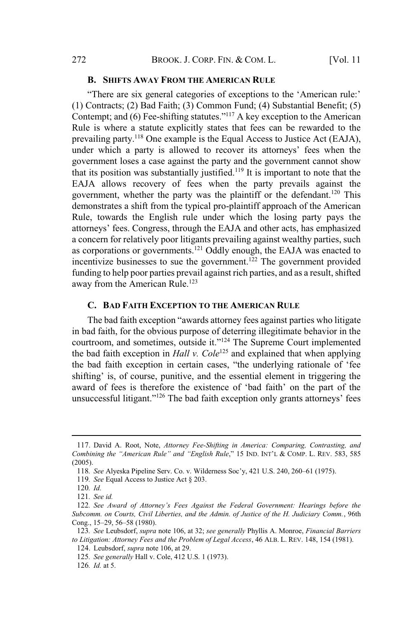#### **B. SHIFTS AWAY FROM THE AMERICAN RULE**

"There are six general categories of exceptions to the 'American rule:' (1) Contracts; (2) Bad Faith; (3) Common Fund; (4) Substantial Benefit; (5) Contempt; and (6) Fee-shifting statutes."<sup>117</sup> A key exception to the American Rule is where a statute explicitly states that fees can be rewarded to the prevailing party.<sup>118</sup> One example is the Equal Access to Justice Act (EAJA), under which a party is allowed to recover its attorneys' fees when the government loses a case against the party and the government cannot show that its position was substantially justified.<sup>119</sup> It is important to note that the EAJA allows recovery of fees when the party prevails against the government, whether the party was the plaintiff or the defendant.<sup>120</sup> This demonstrates a shift from the typical pro-plaintiff approach of the American Rule, towards the English rule under which the losing party pays the attorneys' fees. Congress, through the EAJA and other acts, has emphasized a concern for relatively poor litigants prevailing against wealthy parties, such as corporations or governments.<sup>121</sup> Oddly enough, the EAJA was enacted to incentivize businesses to sue the government.<sup>122</sup> The government provided funding to help poor parties prevail against rich parties, and as a result, shifted away from the American Rule.<sup>123</sup>

#### **C. BAD FAITH EXCEPTION TO THE AMERICAN RULE**

The bad faith exception "awards attorney fees against parties who litigate in bad faith, for the obvious purpose of deterring illegitimate behavior in the courtroom, and sometimes, outside it."<sup>124</sup> The Supreme Court implemented the bad faith exception in *Hall v. Cole*<sup>125</sup> and explained that when applying the bad faith exception in certain cases, "the underlying rationale of 'fee shifting' is, of course, punitive, and the essential element in triggering the award of fees is therefore the existence of 'bad faith' on the part of the unsuccessful litigant."<sup>126</sup> The bad faith exception only grants attorneys' fees

<sup>117</sup>. David A. Root, Note, *Attorney Fee-Shifting in America: Comparing, Contrasting, and Combining the "American Rule" and "English Rule*," 15 IND. INT'<sup>L</sup> & COMP. L. REV. 583, 585 (2005).

<sup>118</sup>*. See* Alyeska Pipeline Serv. Co. v. Wilderness Soc'y, 421 U.S. 240, 260–61 (1975).

<sup>119</sup>*. See* Equal Access to Justice Act § 203.

<sup>120</sup>*. Id.*

<sup>121</sup>*. See id.*

<sup>122</sup>*. See Award of Attorney's Fees Against the Federal Government: Hearings before the Subcomm. on Courts, Civil Liberties, and the Admin. of Justice of the H. Judiciary Comm.*, 96th Cong., 15–29, 56–58 (1980).

<sup>123</sup>*. See* Leubsdorf, *supra* note 106, at 32; *see generally* Phyllis A. Monroe, *Financial Barriers to Litigation: Attorney Fees and the Problem of Legal Access*, 46 ALB. L. REV. 148, 154 (1981). 124. Leubsdorf, *supra* note 106, at 29.

<sup>125</sup>*. See generally* Hall v. Cole, 412 U.S. 1 (1973).

<sup>126</sup>*. Id.* at 5.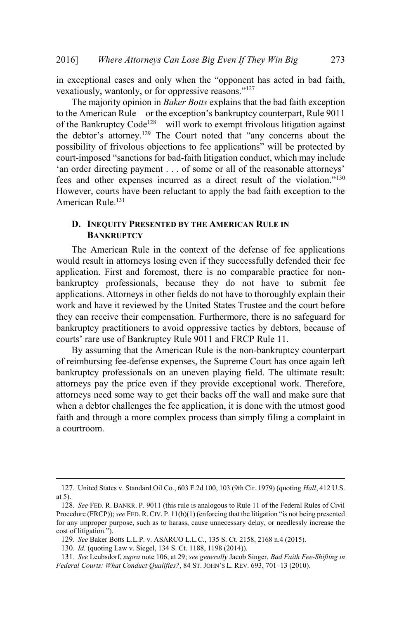in exceptional cases and only when the "opponent has acted in bad faith, vexatiously, wantonly, or for oppressive reasons."<sup>127</sup>

The majority opinion in *Baker Botts* explains that the bad faith exception to the American Rule—or the exception's bankruptcy counterpart, Rule 9011 of the Bankruptcy Code<sup>128</sup>—will work to exempt frivolous litigation against the debtor's attorney.<sup>129</sup> The Court noted that "any concerns about the possibility of frivolous objections to fee applications" will be protected by court-imposed "sanctions for bad-faith litigation conduct, which may include 'an order directing payment . . . of some or all of the reasonable attorneys' fees and other expenses incurred as a direct result of the violation."<sup>130</sup> However, courts have been reluctant to apply the bad faith exception to the American Rule.<sup>131</sup>

#### **D. INEQUITY PRESENTED BY THE AMERICAN RULE IN BANKRUPTCY**

The American Rule in the context of the defense of fee applications would result in attorneys losing even if they successfully defended their fee application. First and foremost, there is no comparable practice for nonbankruptcy professionals, because they do not have to submit fee applications. Attorneys in other fields do not have to thoroughly explain their work and have it reviewed by the United States Trustee and the court before they can receive their compensation. Furthermore, there is no safeguard for bankruptcy practitioners to avoid oppressive tactics by debtors, because of courts' rare use of Bankruptcy Rule 9011 and FRCP Rule 11.

By assuming that the American Rule is the non-bankruptcy counterpart of reimbursing fee-defense expenses, the Supreme Court has once again left bankruptcy professionals on an uneven playing field. The ultimate result: attorneys pay the price even if they provide exceptional work. Therefore, attorneys need some way to get their backs off the wall and make sure that when a debtor challenges the fee application, it is done with the utmost good faith and through a more complex process than simply filing a complaint in a courtroom.

<sup>127</sup>. United States v. Standard Oil Co., 603 F.2d 100, 103 (9th Cir. 1979) (quoting *Hall*, 412 U.S. at 5).

<sup>128</sup>*. See* FED. R. BANKR. P. 9011 (this rule is analogous to Rule 11 of the Federal Rules of Civil Procedure (FRCP)); *see* FED. R. CIV. P. 11(b)(1) (enforcing that the litigation "is not being presented for any improper purpose, such as to harass, cause unnecessary delay, or needlessly increase the cost of litigation.").

<sup>129</sup>*. See* Baker Botts L.L.P. v. ASARCO L.L.C., 135 S. Ct. 2158, 2168 n.4 (2015).

<sup>130</sup>*. Id.* (quoting Law v. Siegel, 134 S. Ct. 1188, 1198 (2014)).

<sup>131</sup>*. See* Leubsdorf, *supra* note 106, at 29; *see generally* Jacob Singer, *Bad Faith Fee-Shifting in Federal Courts: What Conduct Qualifies?*, 84 ST. JOHN'<sup>S</sup> L. REV. 693, 701–13 (2010).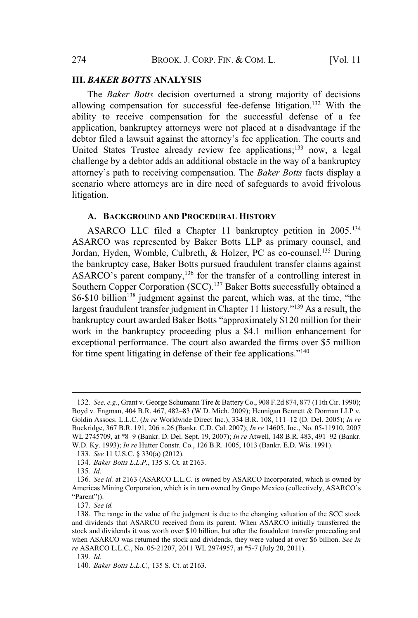#### **III.** *BAKER BOTTS* **ANALYSIS**

The *Baker Botts* decision overturned a strong majority of decisions allowing compensation for successful fee-defense litigation.<sup>132</sup> With the ability to receive compensation for the successful defense of a fee application, bankruptcy attorneys were not placed at a disadvantage if the debtor filed a lawsuit against the attorney's fee application. The courts and United States Trustee already review fee applications;<sup>133</sup> now, a legal challenge by a debtor adds an additional obstacle in the way of a bankruptcy attorney's path to receiving compensation. The *Baker Botts* facts display a scenario where attorneys are in dire need of safeguards to avoid frivolous litigation.

#### **A. BACKGROUND AND PROCEDURAL HISTORY**

ASARCO LLC filed a Chapter 11 bankruptcy petition in 2005.<sup>134</sup> ASARCO was represented by Baker Botts LLP as primary counsel, and Jordan, Hyden, Womble, Culbreth, & Holzer, PC as co-counsel.<sup>135</sup> During the bankruptcy case, Baker Botts pursued fraudulent transfer claims against ASARCO's parent company,<sup>136</sup> for the transfer of a controlling interest in Southern Copper Corporation (SCC).<sup>137</sup> Baker Botts successfully obtained a  $$6-$10 billion<sup>138</sup>$  judgment against the parent, which was, at the time, "the largest fraudulent transfer judgment in Chapter 11 history."<sup>139</sup> As a result, the bankruptcy court awarded Baker Botts "approximately \$120 million for their work in the bankruptcy proceeding plus a \$4.1 million enhancement for exceptional performance. The court also awarded the firms over \$5 million for time spent litigating in defense of their fee applications."<sup>140</sup>

<sup>132</sup>*. See, e.g.*, Grant v. George Schumann Tire & Battery Co., 908 F.2d 874, 877 (11th Cir. 1990); Boyd v. Engman, 404 B.R. 467, 482–83 (W.D. Mich. 2009); Hennigan Bennett & Dorman LLP v. Goldin Assocs. L.L.C. (*In re* Worldwide Direct Inc.), 334 B.R. 108, 111–12 (D. Del. 2005); *In re* Buckridge, 367 B.R. 191, 206 n.26 (Bankr. C.D. Cal. 2007); *In re* 14605, Inc., No. 05-11910, 2007 WL 2745709, at \*8–9 (Bankr. D. Del. Sept. 19, 2007); *In re* Atwell, 148 B.R. 483, 491–92 (Bankr. W.D. Ky. 1993); *In re* Hutter Constr. Co., 126 B.R. 1005, 1013 (Bankr. E.D. Wis. 1991).

<sup>133</sup>*. See* 11 U.S.C. § 330(a) (2012).

<sup>134</sup>*. Baker Botts L.L.P.*, 135 S. Ct. at 2163.

<sup>135</sup>*. Id.*

<sup>136</sup>*. See id.* at 2163 (ASARCO L.L.C. is owned by ASARCO Incorporated, which is owned by Americas Mining Corporation, which is in turn owned by Grupo Mexico (collectively, ASARCO's "Parent")).

<sup>137</sup>*. See id.*

<sup>138</sup>. The range in the value of the judgment is due to the changing valuation of the SCC stock and dividends that ASARCO received from its parent. When ASARCO initially transferred the stock and dividends it was worth over \$10 billion, but after the fraudulent transfer proceeding and when ASARCO was returned the stock and dividends, they were valued at over \$6 billion. *See In re* ASARCO L.L.C*.*, No. 05-21207, 2011 WL 2974957, at \*5-7 (July 20, 2011).

<sup>139</sup>*. Id.*

<sup>140</sup>*. Baker Botts L.L.C.,* 135 S. Ct. at 2163.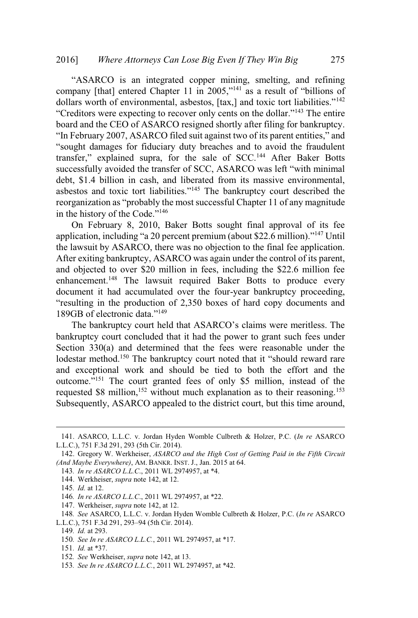#### 2016] *Where Attorneys Can Lose Big Even If They Win Big* 275

"ASARCO is an integrated copper mining, smelting, and refining company [that] entered Chapter 11 in 2005,"<sup>141</sup> as a result of "billions of dollars worth of environmental, asbestos,  $[tax]$  and toxic tort liabilities."<sup>142</sup> "Creditors were expecting to recover only cents on the dollar."<sup>143</sup> The entire board and the CEO of ASARCO resigned shortly after filing for bankruptcy. "In February 2007, ASARCO filed suit against two of its parent entities," and "sought damages for fiduciary duty breaches and to avoid the fraudulent transfer," explained supra, for the sale of SCC.<sup>144</sup> After Baker Botts successfully avoided the transfer of SCC, ASARCO was left "with minimal debt, \$1.4 billion in cash, and liberated from its massive environmental, asbestos and toxic tort liabilities."<sup>145</sup> The bankruptcy court described the reorganization as "probably the most successful Chapter 11 of any magnitude in the history of the Code."<sup>146</sup>

On February 8, 2010, Baker Botts sought final approval of its fee application, including "a 20 percent premium (about \$22.6 million)."<sup>147</sup> Until the lawsuit by ASARCO, there was no objection to the final fee application. After exiting bankruptcy, ASARCO was again under the control of its parent, and objected to over \$20 million in fees, including the \$22.6 million fee enhancement.<sup>148</sup> The lawsuit required Baker Botts to produce every document it had accumulated over the four-year bankruptcy proceeding, "resulting in the production of 2,350 boxes of hard copy documents and 189GB of electronic data."<sup>149</sup>

The bankruptcy court held that ASARCO's claims were meritless. The bankruptcy court concluded that it had the power to grant such fees under Section 330(a) and determined that the fees were reasonable under the lodestar method.<sup>150</sup> The bankruptcy court noted that it "should reward rare and exceptional work and should be tied to both the effort and the outcome."<sup>151</sup> The court granted fees of only \$5 million, instead of the requested  $$8$  million,<sup>152</sup> without much explanation as to their reasoning.<sup>153</sup> Subsequently, ASARCO appealed to the district court, but this time around,

- 143*. In re ASARCO L.L.C*., 2011 WL 2974957, at \*4.
- 144. Werkheiser, *supra* note 142, at 12.
- 145*. Id.* at 12.

147. Werkheiser, *supra* note 142, at 12.

- 150*. See In re ASARCO L.L.C.*, 2011 WL 2974957, at \*17.
- 151*. Id.* at \*37.

<sup>141</sup>. ASARCO, L.L.C. v. Jordan Hyden Womble Culbreth & Holzer, P.C. (*In re* ASARCO L.L.C.), 751 F.3d 291, 293 (5th Cir. 2014).

<sup>142</sup>. Gregory W. Werkheiser, *ASARCO and the High Cost of Getting Paid in the Fifth Circuit (And Maybe Everywhere)*, AM. BANKR. INST. J., Jan. 2015 at 64.

<sup>146</sup>*. In re ASARCO L.L.C*., 2011 WL 2974957, at \*22.

<sup>148</sup>*. See* ASARCO, L.L.C. v. Jordan Hyden Womble Culbreth & Holzer, P.C. (*In re* ASARCO L.L.C.), 751 F.3d 291, 293–94 (5th Cir. 2014).

<sup>149</sup>*. Id.* at 293.

<sup>152</sup>*. See* Werkheiser, *supra* note 142, at 13.

<sup>153</sup>*. See In re ASARCO L.L.C.*, 2011 WL 2974957, at \*42.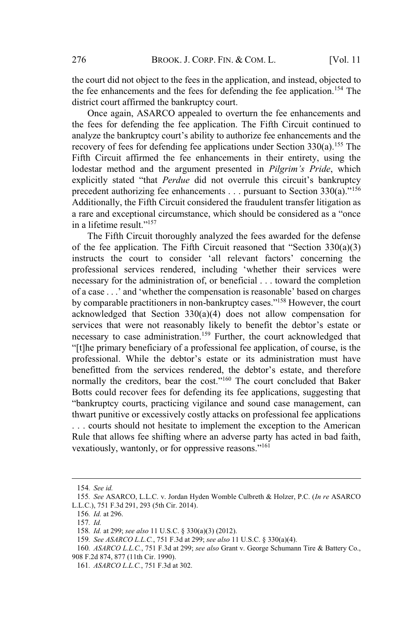the court did not object to the fees in the application, and instead, objected to the fee enhancements and the fees for defending the fee application.<sup>154</sup> The district court affirmed the bankruptcy court.

Once again, ASARCO appealed to overturn the fee enhancements and the fees for defending the fee application. The Fifth Circuit continued to analyze the bankruptcy court's ability to authorize fee enhancements and the recovery of fees for defending fee applications under Section  $330(a)$ .<sup>155</sup> The Fifth Circuit affirmed the fee enhancements in their entirety, using the lodestar method and the argument presented in *Pilgrim's Pride*, which explicitly stated "that *Perdue* did not overrule this circuit's bankruptcy precedent authorizing fee enhancements . . . pursuant to Section 330(a)."<sup>156</sup> Additionally, the Fifth Circuit considered the fraudulent transfer litigation as a rare and exceptional circumstance, which should be considered as a "once in a lifetime result."<sup>157</sup>

The Fifth Circuit thoroughly analyzed the fees awarded for the defense of the fee application. The Fifth Circuit reasoned that "Section  $330(a)(3)$ instructs the court to consider 'all relevant factors' concerning the professional services rendered, including 'whether their services were necessary for the administration of, or beneficial . . . toward the completion of a case . . .' and 'whether the compensation is reasonable' based on charges by comparable practitioners in non-bankruptcy cases."<sup>158</sup> However, the court acknowledged that Section 330(a)(4) does not allow compensation for services that were not reasonably likely to benefit the debtor's estate or necessary to case administration.<sup>159</sup> Further, the court acknowledged that "[t]he primary beneficiary of a professional fee application, of course, is the professional. While the debtor's estate or its administration must have benefitted from the services rendered, the debtor's estate, and therefore normally the creditors, bear the cost."<sup>160</sup> The court concluded that Baker Botts could recover fees for defending its fee applications, suggesting that "bankruptcy courts, practicing vigilance and sound case management, can thwart punitive or excessively costly attacks on professional fee applications . . . courts should not hesitate to implement the exception to the American Rule that allows fee shifting where an adverse party has acted in bad faith, vexatiously, wantonly, or for oppressive reasons."<sup>161</sup>

<sup>154</sup>*. See id.*

<sup>155</sup>*. See* ASARCO, L.L.C. v. Jordan Hyden Womble Culbreth & Holzer, P.C. (*In re* ASARCO L.L.C.), 751 F.3d 291, 293 (5th Cir. 2014).

<sup>156</sup>*. Id.* at 296.

<sup>157</sup>*. Id.*

<sup>158</sup>*. Id.* at 299; *see also* 11 U.S.C. § 330(a)(3) (2012).

<sup>159</sup>*. See ASARCO L.L.C.*, 751 F.3d at 299; *see also* 11 U.S.C. § 330(a)(4).

<sup>160</sup>*. ASARCO L.L.C.*, 751 F.3d at 299; *see also* Grant v. George Schumann Tire & Battery Co., 908 F.2d 874, 877 (11th Cir. 1990).

<sup>161</sup>*. ASARCO L.L.C.*, 751 F.3d at 302.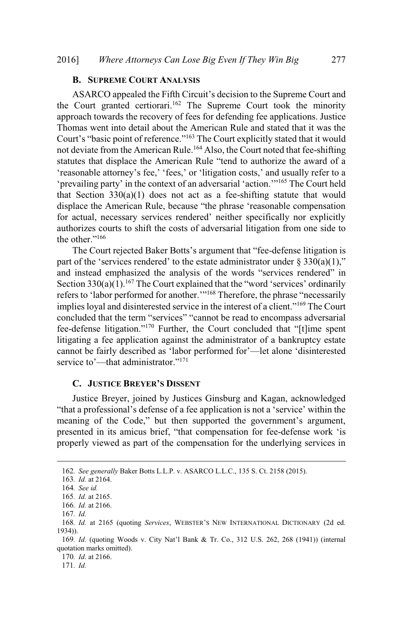#### **B. SUPREME COURT ANALYSIS**

ASARCO appealed the Fifth Circuit's decision to the Supreme Court and the Court granted certiorari.<sup>162</sup> The Supreme Court took the minority approach towards the recovery of fees for defending fee applications. Justice Thomas went into detail about the American Rule and stated that it was the Court's "basic point of reference."<sup>163</sup> The Court explicitly stated that it would not deviate from the American Rule.<sup>164</sup> Also, the Court noted that fee-shifting statutes that displace the American Rule "tend to authorize the award of a 'reasonable attorney's fee,' 'fees,' or 'litigation costs,' and usually refer to a 'prevailing party' in the context of an adversarial 'action.'"<sup>165</sup> The Court held that Section  $330(a)(1)$  does not act as a fee-shifting statute that would displace the American Rule, because "the phrase 'reasonable compensation for actual, necessary services rendered' neither specifically nor explicitly authorizes courts to shift the costs of adversarial litigation from one side to the other."<sup>166</sup>

The Court rejected Baker Botts's argument that "fee-defense litigation is part of the 'services rendered' to the estate administrator under  $\S 330(a)(1)$ ," and instead emphasized the analysis of the words "services rendered" in Section  $330(a)(1)$ .<sup>167</sup> The Court explained that the "word 'services' ordinarily refers to 'labor performed for another.'"<sup>168</sup> Therefore, the phrase "necessarily implies loyal and disinterested service in the interest of a client."<sup>169</sup> The Court concluded that the term "services" "cannot be read to encompass adversarial fee-defense litigation."<sup>170</sup> Further, the Court concluded that "[t]ime spent litigating a fee application against the administrator of a bankruptcy estate cannot be fairly described as 'labor performed for'—let alone 'disinterested service to'—that administrator."<sup>171</sup>

#### **C. JUSTICE BREYER'S DISSENT**

Justice Breyer, joined by Justices Ginsburg and Kagan, acknowledged "that a professional's defense of a fee application is not a 'service' within the meaning of the Code," but then supported the government's argument, presented in its amicus brief, "that compensation for fee-defense work 'is properly viewed as part of the compensation for the underlying services in

170*. Id.* at 2166.

171*. Id.*

<sup>162</sup>*. See generally* Baker Botts L.L.P. v. ASARCO L.L.C., 135 S. Ct. 2158 (2015).

<sup>163</sup>*. Id.* at 2164.

<sup>164</sup>*. See id.*

<sup>165</sup>*. Id.* at 2165.

<sup>166</sup>*. Id.* at 2166.

<sup>167</sup>*. Id.*

<sup>168</sup>*. Id.* at 2165 (quoting *Services*, WEBSTER'<sup>S</sup> NEW INTERNATIONAL DICTIONARY (2d ed. 1934)).

<sup>169</sup>*. Id.* (quoting Woods v. City Nat'l Bank & Tr. Co., 312 U.S. 262, 268 (1941)) (internal quotation marks omitted).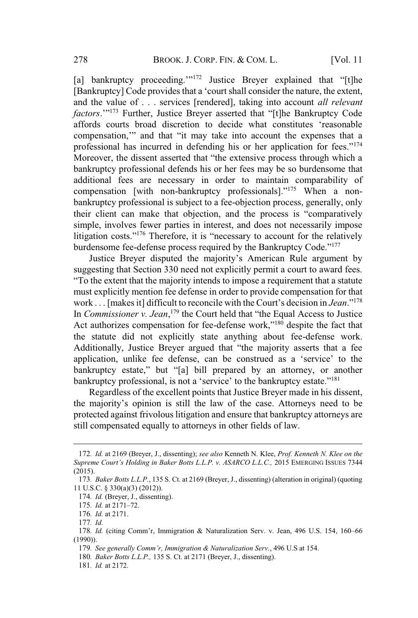[a] bankruptcy proceeding.""<sup>172</sup> Justice Breyer explained that "[t]he [Bankruptcy] Code provides that a 'court shall consider the nature, the extent, and the value of . . . services [rendered], taking into account *all relevant factors*.'"<sup>173</sup> Further, Justice Breyer asserted that "[t]he Bankruptcy Code affords courts broad discretion to decide what constitutes 'reasonable compensation,'" and that "it may take into account the expenses that a professional has incurred in defending his or her application for fees."<sup>174</sup> Moreover, the dissent asserted that "the extensive process through which a bankruptcy professional defends his or her fees may be so burdensome that additional fees are necessary in order to maintain comparability of compensation [with non-bankruptcy professionals]."<sup>175</sup> When a nonbankruptcy professional is subject to a fee-objection process, generally, only their client can make that objection, and the process is "comparatively simple, involves fewer parties in interest, and does not necessarily impose litigation costs."<sup>176</sup> Therefore, it is "necessary to account for the relatively burdensome fee-defense process required by the Bankruptcy Code."<sup>177</sup>

Justice Breyer disputed the majority's American Rule argument by suggesting that Section 330 need not explicitly permit a court to award fees. "To the extent that the majority intends to impose a requirement that a statute must explicitly mention fee defense in order to provide compensation for that work . . . [makesit] difficult to reconcile with the Court's decision in *Jean*."<sup>178</sup> In *Commissioner v. Jean*, <sup>179</sup> the Court held that "the Equal Access to Justice Act authorizes compensation for fee-defense work," $180$  despite the fact that the statute did not explicitly state anything about fee-defense work. Additionally, Justice Breyer argued that "the majority asserts that a fee application, unlike fee defense, can be construed as a 'service' to the bankruptcy estate," but "[a] bill prepared by an attorney, or another bankruptcy professional, is not a 'service' to the bankruptcy estate."<sup>181</sup>

Regardless of the excellent points that Justice Breyer made in his dissent, the majority's opinion is still the law of the case. Attorneys need to be protected against frivolous litigation and ensure that bankruptcy attorneys are still compensated equally to attorneys in other fields of law.

<sup>172</sup>*. Id.* at 2169 (Breyer, J., dissenting); *see also* Kenneth N. Klee, *Prof. Kenneth N. Klee on the Supreme Court's Holding in Baker Botts L.L.P. v. ASARCO L.L.C.,* 2015 EMERGING ISSUES 7344 (2015).

<sup>173</sup>*. Baker Botts L.L.P.*, 135 S. Ct. at 2169 (Breyer, J., dissenting) (alteration in original) (quoting 11 U.S.C. § 330(a)(3) (2012)).

<sup>174</sup>*. Id.* (Breyer, J., dissenting).

<sup>175</sup>*. Id.* at 2171–72.

<sup>176</sup>*. Id.* at 2171.

<sup>177</sup>*. Id.*

<sup>178</sup>*. Id.* (citing Comm'r, Immigration & Naturalization Serv. v. Jean, 496 U.S. 154, 160–66 (1990)).

<sup>179</sup>*. See generally Comm'r, Immigration & Naturalization Serv.*, 496 U.S at 154.

<sup>180</sup>*. Baker Botts L.L.P.,* 135 S. Ct. at 2171 (Breyer, J., dissenting).

<sup>181</sup>*. Id.* at 2172.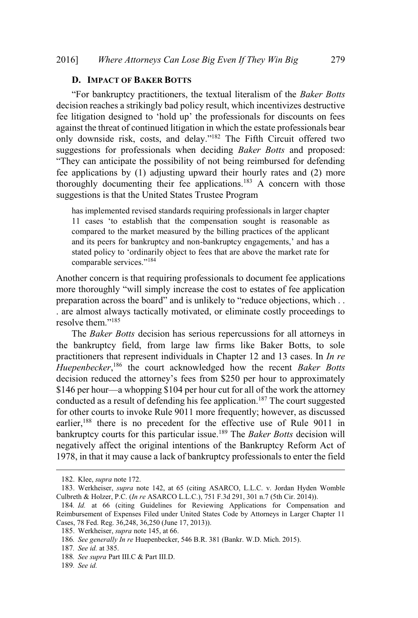#### **D. IMPACT OF BAKER BOTTS**

"For bankruptcy practitioners, the textual literalism of the *Baker Botts* decision reaches a strikingly bad policy result, which incentivizes destructive fee litigation designed to 'hold up' the professionals for discounts on fees against the threat of continued litigation in which the estate professionals bear only downside risk, costs, and delay."<sup>182</sup> The Fifth Circuit offered two suggestions for professionals when deciding *Baker Botts* and proposed: "They can anticipate the possibility of not being reimbursed for defending fee applications by (1) adjusting upward their hourly rates and (2) more thoroughly documenting their fee applications.<sup>183</sup> A concern with those suggestions is that the United States Trustee Program

has implemented revised standards requiring professionals in larger chapter 11 cases 'to establish that the compensation sought is reasonable as compared to the market measured by the billing practices of the applicant and its peers for bankruptcy and non-bankruptcy engagements,' and has a stated policy to 'ordinarily object to fees that are above the market rate for comparable services."<sup>184</sup>

Another concern is that requiring professionals to document fee applications more thoroughly "will simply increase the cost to estates of fee application preparation across the board" and is unlikely to "reduce objections, which . . . are almost always tactically motivated, or eliminate costly proceedings to resolve them."<sup>185</sup>

The *Baker Botts* decision has serious repercussions for all attorneys in the bankruptcy field, from large law firms like Baker Botts, to sole practitioners that represent individuals in Chapter 12 and 13 cases. In *In re Huepenbecker*, <sup>186</sup> the court acknowledged how the recent *Baker Botts* decision reduced the attorney's fees from \$250 per hour to approximately \$146 per hour—a whopping \$104 per hour cut for all of the work the attorney conducted as a result of defending his fee application.<sup>187</sup> The court suggested for other courts to invoke Rule 9011 more frequently; however, as discussed earlier,<sup>188</sup> there is no precedent for the effective use of Rule 9011 in bankruptcy courts for this particular issue.<sup>189</sup> The *Baker Botts* decision will negatively affect the original intentions of the Bankruptcy Reform Act of 1978, in that it may cause a lack of bankruptcy professionals to enter the field

<sup>182</sup>. Klee, *supra* note 172.

<sup>183</sup>. Werkheiser, *supra* note 142, at 65 (citing ASARCO, L.L.C. v. Jordan Hyden Womble Culbreth & Holzer, P.C. (*In re* ASARCO L.L.C.), 751 F.3d 291, 301 n.7 (5th Cir. 2014)).

<sup>184</sup>*. Id.* at 66 (citing Guidelines for Reviewing Applications for Compensation and Reimbursement of Expenses Filed under United States Code by Attorneys in Larger Chapter 11 Cases, 78 Fed. Reg. 36,248, 36,250 (June 17, 2013)).

<sup>185</sup>. Werkheiser, *supra* note 145, at 66.

<sup>186</sup>*. See generally In re* Huepenbecker, 546 B.R. 381 (Bankr. W.D. Mich. 2015).

<sup>187</sup>*. See id.* at 385.

<sup>188</sup>*. See supra* Part III.C & Part III.D.

<sup>189</sup>*. See id.*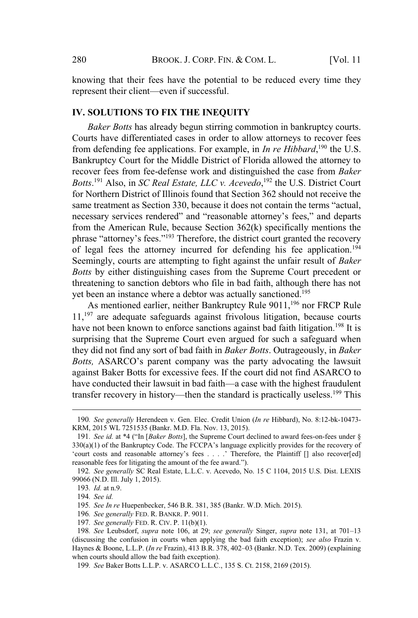knowing that their fees have the potential to be reduced every time they represent their client—even if successful.

#### **IV. SOLUTIONS TO FIX THE INEQUITY**

*Baker Botts* has already begun stirring commotion in bankruptcy courts. Courts have differentiated cases in order to allow attorneys to recover fees from defending fee applications. For example, in *In re Hibbard*, <sup>190</sup> the U.S. Bankruptcy Court for the Middle District of Florida allowed the attorney to recover fees from fee-defense work and distinguished the case from *Baker Botts*. <sup>191</sup> Also, in *SC Real Estate, LLC v. Acevedo*, <sup>192</sup> the U.S. District Court for Northern District of Illinois found that Section 362 should not receive the same treatment as Section 330, because it does not contain the terms "actual, necessary services rendered" and "reasonable attorney's fees," and departs from the American Rule, because Section 362(k) specifically mentions the phrase "attorney's fees."<sup>193</sup> Therefore, the district court granted the recovery of legal fees the attorney incurred for defending his fee application.<sup>194</sup> Seemingly, courts are attempting to fight against the unfair result of *Baker Botts* by either distinguishing cases from the Supreme Court precedent or threatening to sanction debtors who file in bad faith, although there has not yet been an instance where a debtor was actually sanctioned.<sup>195</sup>

As mentioned earlier, neither Bankruptcy Rule 9011,<sup>196</sup> nor FRCP Rule  $11$ ,<sup>197</sup> are adequate safeguards against frivolous litigation, because courts have not been known to enforce sanctions against bad faith litigation.<sup>198</sup> It is surprising that the Supreme Court even argued for such a safeguard when they did not find any sort of bad faith in *Baker Botts*. Outrageously, in *Baker Botts,* ASARCO's parent company was the party advocating the lawsuit against Baker Botts for excessive fees. If the court did not find ASARCO to have conducted their lawsuit in bad faith—a case with the highest fraudulent transfer recovery in history—then the standard is practically useless.<sup>199</sup> This

<sup>190</sup>*. See generally* Herendeen v. Gen. Elec. Credit Union (*In re* Hibbard), No. 8:12-bk-10473- KRM, 2015 WL 7251535 (Bankr. M.D. Fla. Nov. 13, 2015).

<sup>191</sup>*. See id.* at \*4 ("In [*Baker Botts*], the Supreme Court declined to award fees-on-fees under §  $330(a)(1)$  of the Bankruptcy Code. The FCCPA's language explicitly provides for the recovery of 'court costs and reasonable attorney's fees . . . .' Therefore, the Plaintiff [] also recover[ed] reasonable fees for litigating the amount of the fee award.").

<sup>192</sup>*. See generally* SC Real Estate, L.L.C. v. Acevedo, No. 15 C 1104, 2015 U.S. Dist. LEXIS 99066 (N.D. Ill. July 1, 2015).

<sup>193</sup>*. Id.* at n.9.

<sup>194</sup>*. See id.*

<sup>195</sup>*. See In re* Huepenbecker, 546 B.R. 381, 385 (Bankr. W.D. Mich. 2015).

<sup>196</sup>*. See generally* FED. R. BANKR. P. 9011.

<sup>197</sup>*. See generally* FED. R. CIV. P. 11(b)(1).

<sup>198</sup>*. See* Leubsdorf, *supra* note 106, at 29; *see generally* Singer, *supra* note 131, at 701–13 (discussing the confusion in courts when applying the bad faith exception); *see also* Frazin v. Haynes & Boone, L.L.P. (*In re* Frazin), 413 B.R. 378, 402–03 (Bankr. N.D. Tex. 2009) (explaining when courts should allow the bad faith exception).

<sup>199</sup>*. See* Baker Botts L.L.P. v. ASARCO L.L.C., 135 S. Ct. 2158, 2169 (2015).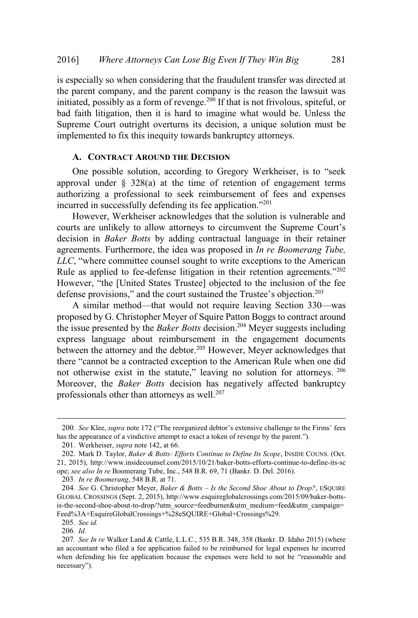is especially so when considering that the fraudulent transfer was directed at the parent company, and the parent company is the reason the lawsuit was initiated, possibly as a form of revenge.<sup>200</sup> If that is not frivolous, spiteful, or bad faith litigation, then it is hard to imagine what would be. Unless the Supreme Court outright overturns its decision, a unique solution must be implemented to fix this inequity towards bankruptcy attorneys.

### **A. CONTRACT AROUND THE DECISION**

One possible solution, according to Gregory Werkheiser, is to "seek approval under  $\S$  328(a) at the time of retention of engagement terms authorizing a professional to seek reimbursement of fees and expenses incurred in successfully defending its fee application."<sup>201</sup>

However, Werkheiser acknowledges that the solution is vulnerable and courts are unlikely to allow attorneys to circumvent the Supreme Court's decision in *Baker Botts* by adding contractual language in their retainer agreements. Furthermore, the idea was proposed in *In re Boomerang Tube, LLC*, "where committee counsel sought to write exceptions to the American Rule as applied to fee-defense litigation in their retention agreements."<sup>202</sup> However, "the [United States Trustee] objected to the inclusion of the fee defense provisions," and the court sustained the Trustee's objection.<sup>203</sup>

A similar method—that would not require leaving Section 330—was proposed by G. Christopher Meyer of Squire Patton Boggs to contract around the issue presented by the *Baker Botts* decision.<sup>204</sup> Meyer suggests including express language about reimbursement in the engagement documents between the attorney and the debtor.<sup>205</sup> However, Meyer acknowledges that there "cannot be a contracted exception to the American Rule when one did not otherwise exist in the statute," leaving no solution for attorneys. 206 Moreover, the *Baker Botts* decision has negatively affected bankruptcy professionals other than attorneys as well.<sup>207</sup>

<sup>200</sup>*. See* Klee, *supra* note 172 ("The reorganized debtor's extensive challenge to the Firms' fees has the appearance of a vindictive attempt to exact a token of revenge by the parent.").

<sup>201</sup>. Werkheiser, *supra* note 142, at 66.

<sup>202</sup>. Mark D. Taylor, *Baker & Botts: Efforts Continue to Define Its Scope*, INSIDE COUNS. (Oct. 21, 2015), http://www.insidecounsel.com/2015/10/21/baker-botts-efforts-continue-to-define-its-sc ope; *see also In re* Boomerang Tube, Inc., 548 B.R. 69, 71 (Bankr. D. Del. 2016).

<sup>203</sup>*. In re Boomerang*, 548 B.R. at 71.

<sup>204</sup>*. See* G. Christopher Meyer, *Baker & Botts – Is the Second Shoe About to Drop?*, <sup>E</sup>SQUIRE GLOBAL CROSSINGS (Sept. 2, 2015), http://www.esquireglobalcrossings.com/2015/09/baker-bottsis-the-second-shoe-about-to-drop/?utm\_source=feedburner&utm\_medium=feed&utm\_campaign= Feed%3A+EsquireGlobalCrossings+%28eSQUIRE+Global+Crossings%29.

<sup>205</sup>*. See id.*

<sup>206</sup>*. Id.*

<sup>207</sup>*. See In re* Walker Land & Cattle, L.L.C., 535 B.R. 348, 358 (Bankr. D. Idaho 2015) (where an accountant who filed a fee application failed to be reimbursed for legal expenses he incurred when defending his fee application because the expenses were held to not be "reasonable and necessary").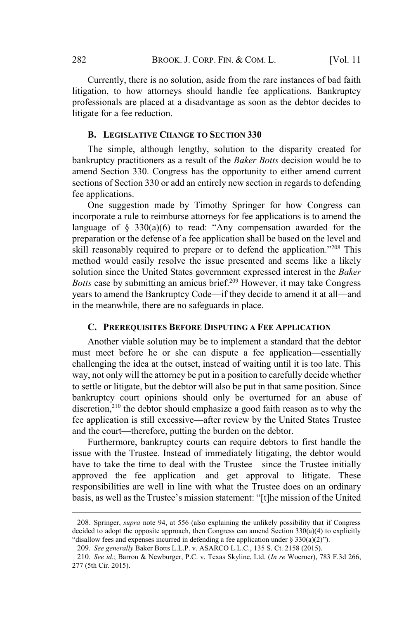Currently, there is no solution, aside from the rare instances of bad faith litigation, to how attorneys should handle fee applications. Bankruptcy professionals are placed at a disadvantage as soon as the debtor decides to litigate for a fee reduction.

#### **B. LEGISLATIVE CHANGE TO SECTION 330**

The simple, although lengthy, solution to the disparity created for bankruptcy practitioners as a result of the *Baker Botts* decision would be to amend Section 330. Congress has the opportunity to either amend current sections of Section 330 or add an entirely new section in regards to defending fee applications.

One suggestion made by Timothy Springer for how Congress can incorporate a rule to reimburse attorneys for fee applications is to amend the language of  $\S$  330(a)(6) to read: "Any compensation awarded for the preparation or the defense of a fee application shall be based on the level and skill reasonably required to prepare or to defend the application."<sup>208</sup> This method would easily resolve the issue presented and seems like a likely solution since the United States government expressed interest in the *Baker Botts* case by submitting an amicus brief.<sup>209</sup> However, it may take Congress years to amend the Bankruptcy Code—if they decide to amend it at all—and in the meanwhile, there are no safeguards in place.

#### **C. PREREQUISITES BEFORE DISPUTING A FEE APPLICATION**

Another viable solution may be to implement a standard that the debtor must meet before he or she can dispute a fee application—essentially challenging the idea at the outset, instead of waiting until it is too late. This way, not only will the attorney be put in a position to carefully decide whether to settle or litigate, but the debtor will also be put in that same position. Since bankruptcy court opinions should only be overturned for an abuse of discretion, $2^{10}$  the debtor should emphasize a good faith reason as to why the fee application is still excessive—after review by the United States Trustee and the court—therefore, putting the burden on the debtor.

Furthermore, bankruptcy courts can require debtors to first handle the issue with the Trustee. Instead of immediately litigating, the debtor would have to take the time to deal with the Trustee—since the Trustee initially approved the fee application—and get approval to litigate. These responsibilities are well in line with what the Trustee does on an ordinary basis, as well as the Trustee's mission statement: "[t]he mission of the United

<sup>208</sup>. Springer, *supra* note 94, at 556 (also explaining the unlikely possibility that if Congress decided to adopt the opposite approach, then Congress can amend Section  $330(a)(4)$  to explicitly "disallow fees and expenses incurred in defending a fee application under  $\S 330(a)(2)$ ").

<sup>209</sup>*. See generally* Baker Botts L.L.P. v. ASARCO L.L.C., 135 S. Ct. 2158 (2015).

<sup>210</sup>*. See id.*; Barron & Newburger, P.C. v. Texas Skyline, Ltd. (*In re* Woerner), 783 F.3d 266, 277 (5th Cir. 2015).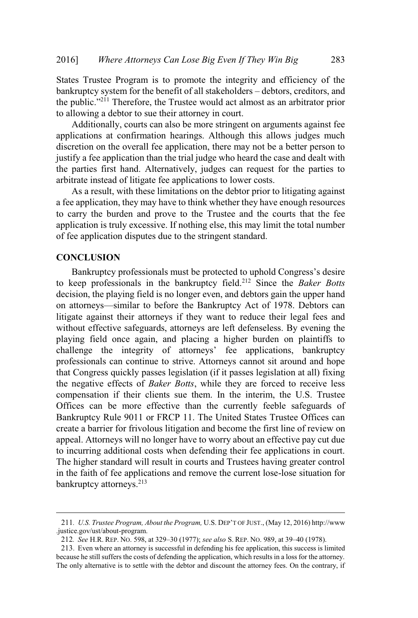States Trustee Program is to promote the integrity and efficiency of the bankruptcy system for the benefit of all stakeholders – debtors, creditors, and the public."<sup>211</sup> Therefore, the Trustee would act almost as an arbitrator prior to allowing a debtor to sue their attorney in court.

Additionally, courts can also be more stringent on arguments against fee applications at confirmation hearings. Although this allows judges much discretion on the overall fee application, there may not be a better person to justify a fee application than the trial judge who heard the case and dealt with the parties first hand. Alternatively, judges can request for the parties to arbitrate instead of litigate fee applications to lower costs.

As a result, with these limitations on the debtor prior to litigating against a fee application, they may have to think whether they have enough resources to carry the burden and prove to the Trustee and the courts that the fee application is truly excessive. If nothing else, this may limit the total number of fee application disputes due to the stringent standard.

#### **CONCLUSION**

Bankruptcy professionals must be protected to uphold Congress's desire to keep professionals in the bankruptcy field.<sup>212</sup> Since the *Baker Botts* decision, the playing field is no longer even, and debtors gain the upper hand on attorneys—similar to before the Bankruptcy Act of 1978. Debtors can litigate against their attorneys if they want to reduce their legal fees and without effective safeguards, attorneys are left defenseless. By evening the playing field once again, and placing a higher burden on plaintiffs to challenge the integrity of attorneys' fee applications, bankruptcy professionals can continue to strive. Attorneys cannot sit around and hope that Congress quickly passes legislation (if it passes legislation at all) fixing the negative effects of *Baker Botts*, while they are forced to receive less compensation if their clients sue them. In the interim, the U.S. Trustee Offices can be more effective than the currently feeble safeguards of Bankruptcy Rule 9011 or FRCP 11. The United States Trustee Offices can create a barrier for frivolous litigation and become the first line of review on appeal. Attorneys will no longer have to worry about an effective pay cut due to incurring additional costs when defending their fee applications in court. The higher standard will result in courts and Trustees having greater control in the faith of fee applications and remove the current lose-lose situation for bankruptcy attorneys.<sup>213</sup>

<sup>211</sup>*. U.S. Trustee Program, About the Program,* U.S. DEP'<sup>T</sup> OF JUST., (May 12, 2016) http://www .justice.gov/ust/about-program.

<sup>212</sup>*. See* H.R. REP. NO. 598, at 329–30 (1977); *see also* S. REP. NO. 989, at 39–40 (1978).

<sup>213</sup>. Even where an attorney is successful in defending his fee application, this success is limited because he still suffers the costs of defending the application, which results in a loss for the attorney. The only alternative is to settle with the debtor and discount the attorney fees. On the contrary, if